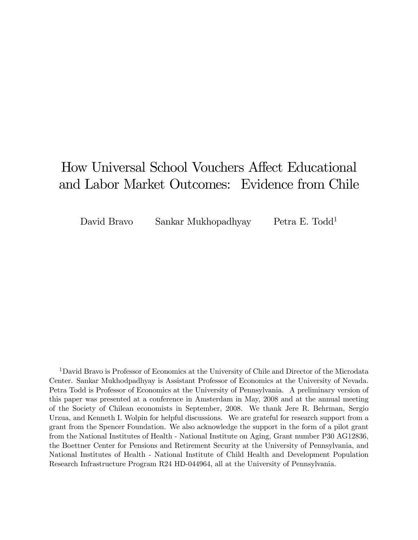# How Universal School Vouchers Affect Educational and Labor Market Outcomes: Evidence from Chile

David Bravo Sankar Mukhopadhyay Petra E. Todd1

1David Bravo is Professor of Economics at the University of Chile and Director of the Microdata Center. Sankar Mukhodpadhyay is Assistant Professor of Economics at the University of Nevada. Petra Todd is Professor of Economics at the University of Pennsylvania. A preliminary version of this paper was presented at a conference in Amsterdam in May, 2008 and at the annual meeting of the Society of Chilean economists in September, 2008. We thank Jere R. Behrman, Sergio Urzua, and Kenneth I. Wolpin for helpful discussions. We are grateful for research support from a grant from the Spencer Foundation. We also acknowledge the support in the form of a pilot grant from the National Institutes of Health - National Institute on Aging, Grant number P30 AG12836, the Boettner Center for Pensions and Retirement Security at the University of Pennsylvania, and National Institutes of Health - National Institute of Child Health and Development Population Research Infrastructure Program R24 HD-044964, all at the University of Pennsylvania.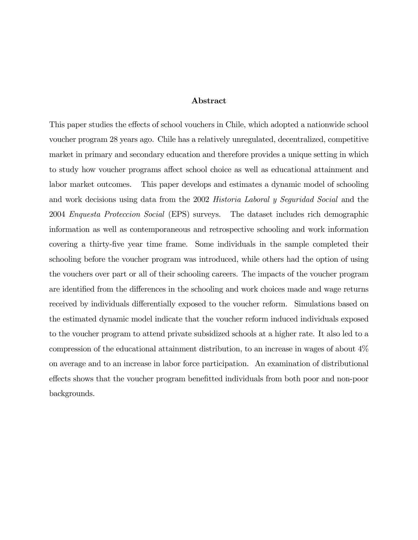#### Abstract

This paper studies the effects of school vouchers in Chile, which adopted a nationwide school voucher program 28 years ago. Chile has a relatively unregulated, decentralized, competitive market in primary and secondary education and therefore provides a unique setting in which to study how voucher programs affect school choice as well as educational attainment and labor market outcomes. This paper develops and estimates a dynamic model of schooling and work decisions using data from the 2002 Historia Laboral y Seguridad Social and the 2004 Enquesta Proteccion Social (EPS) surveys. The dataset includes rich demographic information as well as contemporaneous and retrospective schooling and work information covering a thirty-five year time frame. Some individuals in the sample completed their schooling before the voucher program was introduced, while others had the option of using the vouchers over part or all of their schooling careers. The impacts of the voucher program are identified from the differences in the schooling and work choices made and wage returns received by individuals differentially exposed to the voucher reform. Simulations based on the estimated dynamic model indicate that the voucher reform induced individuals exposed to the voucher program to attend private subsidized schools at a higher rate. It also led to a compression of the educational attainment distribution, to an increase in wages of about 4% on average and to an increase in labor force participation. An examination of distributional effects shows that the voucher program benefitted individuals from both poor and non-poor backgrounds.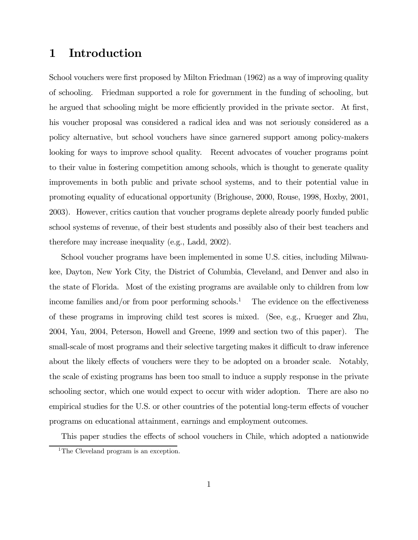## 1 Introduction

School vouchers were first proposed by Milton Friedman (1962) as a way of improving quality of schooling. Friedman supported a role for government in the funding of schooling, but he argued that schooling might be more efficiently provided in the private sector. At first, his voucher proposal was considered a radical idea and was not seriously considered as a policy alternative, but school vouchers have since garnered support among policy-makers looking for ways to improve school quality. Recent advocates of voucher programs point to their value in fostering competition among schools, which is thought to generate quality improvements in both public and private school systems, and to their potential value in promoting equality of educational opportunity (Brighouse, 2000, Rouse, 1998, Hoxby, 2001, 2003). However, critics caution that voucher programs deplete already poorly funded public school systems of revenue, of their best students and possibly also of their best teachers and therefore may increase inequality (e.g., Ladd, 2002).

School voucher programs have been implemented in some U.S. cities, including Milwaukee, Dayton, New York City, the District of Columbia, Cleveland, and Denver and also in the state of Florida. Most of the existing programs are available only to children from low income families and/or from poor performing schools.<sup>1</sup> The evidence on the effectiveness of these programs in improving child test scores is mixed. (See, e.g., Krueger and Zhu, 2004, Yau, 2004, Peterson, Howell and Greene, 1999 and section two of this paper). The small-scale of most programs and their selective targeting makes it difficult to draw inference about the likely effects of vouchers were they to be adopted on a broader scale. Notably, the scale of existing programs has been too small to induce a supply response in the private schooling sector, which one would expect to occur with wider adoption. There are also no empirical studies for the U.S. or other countries of the potential long-term effects of voucher programs on educational attainment, earnings and employment outcomes.

This paper studies the effects of school vouchers in Chile, which adopted a nationwide

<sup>&</sup>lt;sup>1</sup>The Cleveland program is an exception.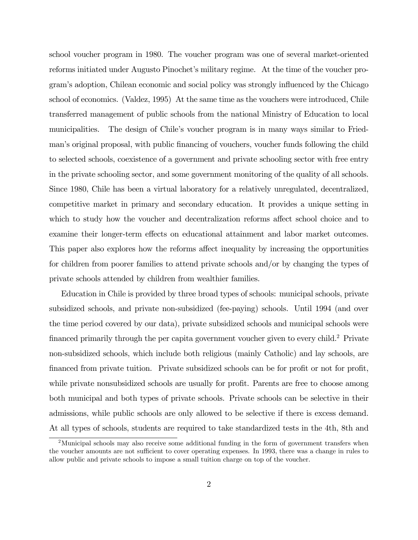school voucher program in 1980. The voucher program was one of several market-oriented reforms initiated under Augusto Pinochet's military regime. At the time of the voucher program's adoption, Chilean economic and social policy was strongly influenced by the Chicago school of economics. (Valdez, 1995) At the same time as the vouchers were introduced, Chile transferred management of public schools from the national Ministry of Education to local municipalities. The design of Chile's voucher program is in many ways similar to Friedman's original proposal, with public financing of vouchers, voucher funds following the child to selected schools, coexistence of a government and private schooling sector with free entry in the private schooling sector, and some government monitoring of the quality of all schools. Since 1980, Chile has been a virtual laboratory for a relatively unregulated, decentralized, competitive market in primary and secondary education. It provides a unique setting in which to study how the voucher and decentralization reforms affect school choice and to examine their longer-term effects on educational attainment and labor market outcomes. This paper also explores how the reforms affect inequality by increasing the opportunities for children from poorer families to attend private schools and/or by changing the types of private schools attended by children from wealthier families.

Education in Chile is provided by three broad types of schools: municipal schools, private subsidized schools, and private non-subsidized (fee-paying) schools. Until 1994 (and over the time period covered by our data), private subsidized schools and municipal schools were financed primarily through the per capita government voucher given to every child.2 Private non-subsidized schools, which include both religious (mainly Catholic) and lay schools, are financed from private tuition. Private subsidized schools can be for profit or not for profit, while private nonsubsidized schools are usually for profit. Parents are free to choose among both municipal and both types of private schools. Private schools can be selective in their admissions, while public schools are only allowed to be selective if there is excess demand. At all types of schools, students are required to take standardized tests in the 4th, 8th and

<sup>&</sup>lt;sup>2</sup>Municipal schools may also receive some additional funding in the form of government transfers when the voucher amounts are not sufficient to cover operating expenses. In 1993, there was a change in rules to allow public and private schools to impose a small tuition charge on top of the voucher.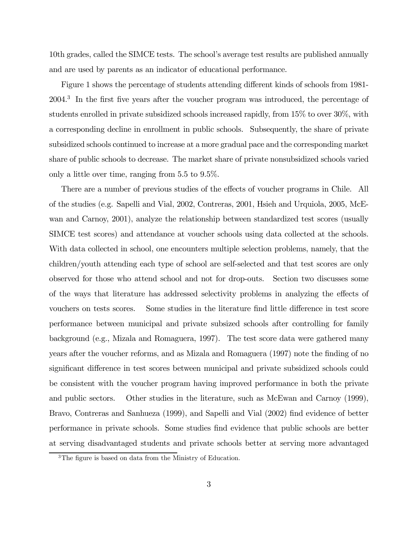10th grades, called the SIMCE tests. The school's average test results are published annually and are used by parents as an indicator of educational performance.

Figure 1 shows the percentage of students attending different kinds of schools from 1981- 2004.3 In the first five years after the voucher program was introduced, the percentage of students enrolled in private subsidized schools increased rapidly, from 15% to over 30%, with a corresponding decline in enrollment in public schools. Subsequently, the share of private subsidized schools continued to increase at a more gradual pace and the corresponding market share of public schools to decrease. The market share of private nonsubsidized schools varied only a little over time, ranging from 5.5 to 9.5%.

There are a number of previous studies of the effects of voucher programs in Chile. All of the studies (e.g. Sapelli and Vial, 2002, Contreras, 2001, Hsieh and Urquiola, 2005, McEwan and Carnoy, 2001), analyze the relationship between standardized test scores (usually SIMCE test scores) and attendance at voucher schools using data collected at the schools. With data collected in school, one encounters multiple selection problems, namely, that the children/youth attending each type of school are self-selected and that test scores are only observed for those who attend school and not for drop-outs. Section two discusses some of the ways that literature has addressed selectivity problems in analyzing the effects of vouchers on tests scores. Some studies in the literature find little difference in test score performance between municipal and private subsized schools after controlling for family background (e.g., Mizala and Romaguera, 1997). The test score data were gathered many years after the voucher reforms, and as Mizala and Romaguera (1997) note the finding of no significant difference in test scores between municipal and private subsidized schools could be consistent with the voucher program having improved performance in both the private and public sectors. Other studies in the literature, such as McEwan and Carnoy (1999), Bravo, Contreras and Sanhueza (1999), and Sapelli and Vial (2002) find evidence of better performance in private schools. Some studies find evidence that public schools are better at serving disadvantaged students and private schools better at serving more advantaged

<sup>&</sup>lt;sup>3</sup>The figure is based on data from the Ministry of Education.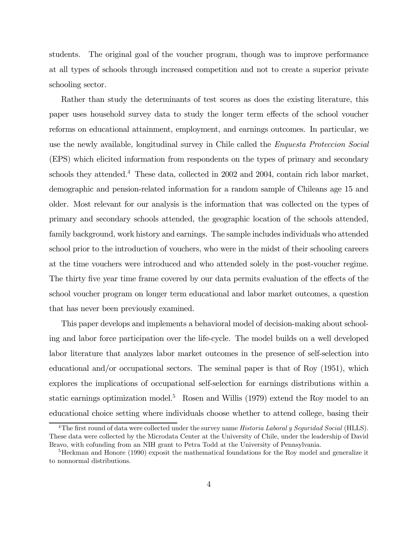students. The original goal of the voucher program, though was to improve performance at all types of schools through increased competition and not to create a superior private schooling sector.

Rather than study the determinants of test scores as does the existing literature, this paper uses household survey data to study the longer term effects of the school voucher reforms on educational attainment, employment, and earnings outcomes. In particular, we use the newly available, longitudinal survey in Chile called the Enquesta Proteccion Social (EPS) which elicited information from respondents on the types of primary and secondary schools they attended.<sup>4</sup> These data, collected in 2002 and 2004, contain rich labor market, demographic and pension-related information for a random sample of Chileans age 15 and older. Most relevant for our analysis is the information that was collected on the types of primary and secondary schools attended, the geographic location of the schools attended, family background, work history and earnings. The sample includes individuals who attended school prior to the introduction of vouchers, who were in the midst of their schooling careers at the time vouchers were introduced and who attended solely in the post-voucher regime. The thirty five year time frame covered by our data permits evaluation of the effects of the school voucher program on longer term educational and labor market outcomes, a question that has never been previously examined.

This paper develops and implements a behavioral model of decision-making about schooling and labor force participation over the life-cycle. The model builds on a well developed labor literature that analyzes labor market outcomes in the presence of self-selection into educational and/or occupational sectors. The seminal paper is that of Roy (1951), which explores the implications of occupational self-selection for earnings distributions within a static earnings optimization model.<sup>5</sup> Rosen and Willis (1979) extend the Roy model to an educational choice setting where individuals choose whether to attend college, basing their

<sup>&</sup>lt;sup>4</sup>The first round of data were collected under the survey name *Historia Laboral y Seguridad Social* (HLLS). These data were collected by the Microdata Center at the University of Chile, under the leadership of David Bravo, with cofunding from an NIH grant to Petra Todd at the University of Pennsylvania.

<sup>&</sup>lt;sup>5</sup>Heckman and Honore (1990) exposit the mathematical foundations for the Roy model and generalize it to nonnormal distributions.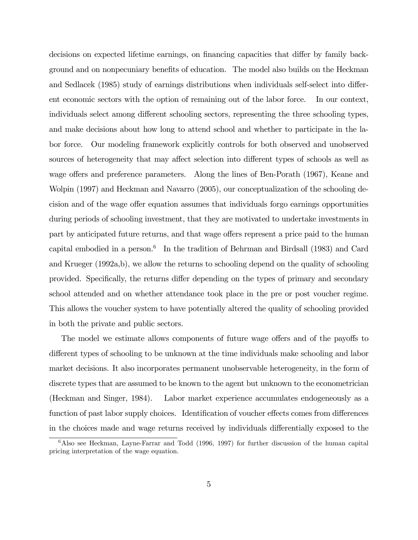decisions on expected lifetime earnings, on financing capacities that differ by family background and on nonpecuniary benefits of education. The model also builds on the Heckman and Sedlacek (1985) study of earnings distributions when individuals self-select into different economic sectors with the option of remaining out of the labor force. In our context, individuals select among different schooling sectors, representing the three schooling types, and make decisions about how long to attend school and whether to participate in the labor force. Our modeling framework explicitly controls for both observed and unobserved sources of heterogeneity that may affect selection into different types of schools as well as wage offers and preference parameters. Along the lines of Ben-Porath (1967), Keane and Wolpin (1997) and Heckman and Navarro (2005), our conceptualization of the schooling decision and of the wage offer equation assumes that individuals forgo earnings opportunities during periods of schooling investment, that they are motivated to undertake investments in part by anticipated future returns, and that wage offers represent a price paid to the human capital embodied in a person.<sup>6</sup> In the tradition of Behrman and Birdsall (1983) and Card and Krueger (1992a,b), we allow the returns to schooling depend on the quality of schooling provided. Specifically, the returns differ depending on the types of primary and secondary school attended and on whether attendance took place in the pre or post voucher regime. This allows the voucher system to have potentially altered the quality of schooling provided in both the private and public sectors.

The model we estimate allows components of future wage offers and of the payoffs to different types of schooling to be unknown at the time individuals make schooling and labor market decisions. It also incorporates permanent unobservable heterogeneity, in the form of discrete types that are assumed to be known to the agent but unknown to the econometrician (Heckman and Singer, 1984). Labor market experience accumulates endogeneously as a function of past labor supply choices. Identification of voucher effects comes from differences in the choices made and wage returns received by individuals differentially exposed to the

<sup>&</sup>lt;sup>6</sup>Also see Heckman, Layne-Farrar and Todd (1996, 1997) for further discussion of the human capital pricing interpretation of the wage equation.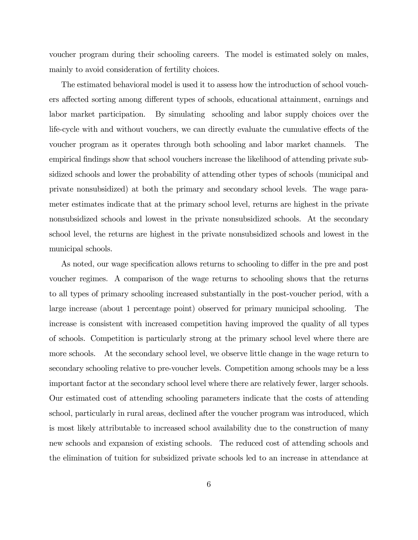voucher program during their schooling careers. The model is estimated solely on males, mainly to avoid consideration of fertility choices.

The estimated behavioral model is used it to assess how the introduction of school vouchers affected sorting among different types of schools, educational attainment, earnings and labor market participation. By simulating schooling and labor supply choices over the life-cycle with and without vouchers, we can directly evaluate the cumulative effects of the voucher program as it operates through both schooling and labor market channels. The empirical findings show that school vouchers increase the likelihood of attending private subsidized schools and lower the probability of attending other types of schools (municipal and private nonsubsidized) at both the primary and secondary school levels. The wage parameter estimates indicate that at the primary school level, returns are highest in the private nonsubsidized schools and lowest in the private nonsubsidized schools. At the secondary school level, the returns are highest in the private nonsubsidized schools and lowest in the municipal schools.

As noted, our wage specification allows returns to schooling to differ in the pre and post voucher regimes. A comparison of the wage returns to schooling shows that the returns to all types of primary schooling increased substantially in the post-voucher period, with a large increase (about 1 percentage point) observed for primary municipal schooling. The increase is consistent with increased competition having improved the quality of all types of schools. Competition is particularly strong at the primary school level where there are more schools. At the secondary school level, we observe little change in the wage return to secondary schooling relative to pre-voucher levels. Competition among schools may be a less important factor at the secondary school level where there are relatively fewer, larger schools. Our estimated cost of attending schooling parameters indicate that the costs of attending school, particularly in rural areas, declined after the voucher program was introduced, which is most likely attributable to increased school availability due to the construction of many new schools and expansion of existing schools. The reduced cost of attending schools and the elimination of tuition for subsidized private schools led to an increase in attendance at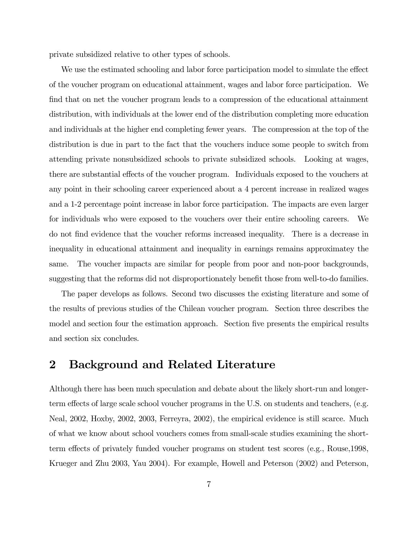private subsidized relative to other types of schools.

We use the estimated schooling and labor force participation model to simulate the effect of the voucher program on educational attainment, wages and labor force participation. We find that on net the voucher program leads to a compression of the educational attainment distribution, with individuals at the lower end of the distribution completing more education and individuals at the higher end completing fewer years. The compression at the top of the distribution is due in part to the fact that the vouchers induce some people to switch from attending private nonsubsidized schools to private subsidized schools. Looking at wages, there are substantial effects of the voucher program. Individuals exposed to the vouchers at any point in their schooling career experienced about a 4 percent increase in realized wages and a 1-2 percentage point increase in labor force participation. The impacts are even larger for individuals who were exposed to the vouchers over their entire schooling careers. We do not find evidence that the voucher reforms increased inequality. There is a decrease in inequality in educational attainment and inequality in earnings remains approximatey the same. The voucher impacts are similar for people from poor and non-poor backgrounds, suggesting that the reforms did not disproportionately benefit those from well-to-do families.

The paper develops as follows. Second two discusses the existing literature and some of the results of previous studies of the Chilean voucher program. Section three describes the model and section four the estimation approach. Section five presents the empirical results and section six concludes.

### 2 Background and Related Literature

Although there has been much speculation and debate about the likely short-run and longerterm effects of large scale school voucher programs in the U.S. on students and teachers, (e.g. Neal, 2002, Hoxby, 2002, 2003, Ferreyra, 2002), the empirical evidence is still scarce. Much of what we know about school vouchers comes from small-scale studies examining the shortterm effects of privately funded voucher programs on student test scores (e.g., Rouse,1998, Krueger and Zhu 2003, Yau 2004). For example, Howell and Peterson (2002) and Peterson,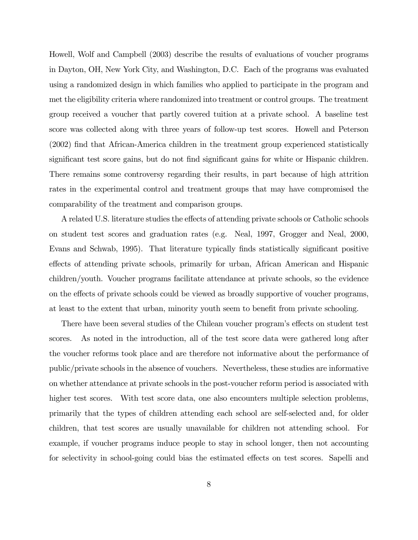Howell, Wolf and Campbell (2003) describe the results of evaluations of voucher programs in Dayton, OH, New York City, and Washington, D.C. Each of the programs was evaluated using a randomized design in which families who applied to participate in the program and met the eligibility criteria where randomized into treatment or control groups. The treatment group received a voucher that partly covered tuition at a private school. A baseline test score was collected along with three years of follow-up test scores. Howell and Peterson (2002) find that African-America children in the treatment group experienced statistically significant test score gains, but do not find significant gains for white or Hispanic children. There remains some controversy regarding their results, in part because of high attrition rates in the experimental control and treatment groups that may have compromised the comparability of the treatment and comparison groups.

A related U.S. literature studies the effects of attending private schools or Catholic schools on student test scores and graduation rates (e.g. Neal, 1997, Grogger and Neal, 2000, Evans and Schwab, 1995). That literature typically finds statistically significant positive effects of attending private schools, primarily for urban, African American and Hispanic children/youth. Voucher programs facilitate attendance at private schools, so the evidence on the effects of private schools could be viewed as broadly supportive of voucher programs, at least to the extent that urban, minority youth seem to benefit from private schooling.

There have been several studies of the Chilean voucher program's effects on student test scores. As noted in the introduction, all of the test score data were gathered long after the voucher reforms took place and are therefore not informative about the performance of public/private schools in the absence of vouchers. Nevertheless, these studies are informative on whether attendance at private schools in the post-voucher reform period is associated with higher test scores. With test score data, one also encounters multiple selection problems, primarily that the types of children attending each school are self-selected and, for older children, that test scores are usually unavailable for children not attending school. For example, if voucher programs induce people to stay in school longer, then not accounting for selectivity in school-going could bias the estimated effects on test scores. Sapelli and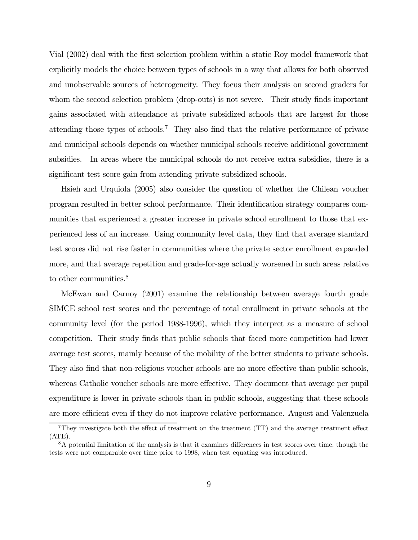Vial (2002) deal with the first selection problem within a static Roy model framework that explicitly models the choice between types of schools in a way that allows for both observed and unobservable sources of heterogeneity. They focus their analysis on second graders for whom the second selection problem (drop-outs) is not severe. Their study finds important gains associated with attendance at private subsidized schools that are largest for those attending those types of schools.7 They also find that the relative performance of private and municipal schools depends on whether municipal schools receive additional government subsidies. In areas where the municipal schools do not receive extra subsidies, there is a significant test score gain from attending private subsidized schools.

Hsieh and Urquiola (2005) also consider the question of whether the Chilean voucher program resulted in better school performance. Their identification strategy compares communities that experienced a greater increase in private school enrollment to those that experienced less of an increase. Using community level data, they find that average standard test scores did not rise faster in communities where the private sector enrollment expanded more, and that average repetition and grade-for-age actually worsened in such areas relative to other communities.<sup>8</sup>

McEwan and Carnoy (2001) examine the relationship between average fourth grade SIMCE school test scores and the percentage of total enrollment in private schools at the community level (for the period 1988-1996), which they interpret as a measure of school competition. Their study finds that public schools that faced more competition had lower average test scores, mainly because of the mobility of the better students to private schools. They also find that non-religious voucher schools are no more effective than public schools, whereas Catholic voucher schools are more effective. They document that average per pupil expenditure is lower in private schools than in public schools, suggesting that these schools are more efficient even if they do not improve relative performance. August and Valenzuela

 $7$ They investigate both the effect of treatment on the treatment (TT) and the average treatment effect  $(ATE).$ 

<sup>&</sup>lt;sup>8</sup>A potential limitation of the analysis is that it examines differences in test scores over time, though the tests were not comparable over time prior to 1998, when test equating was introduced.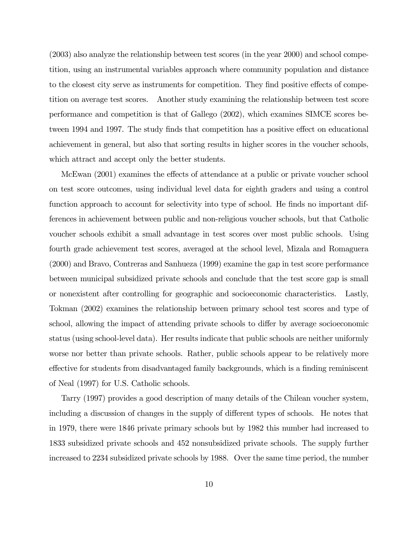(2003) also analyze the relationship between test scores (in the year 2000) and school competition, using an instrumental variables approach where community population and distance to the closest city serve as instruments for competition. They find positive effects of competition on average test scores. Another study examining the relationship between test score performance and competition is that of Gallego (2002), which examines SIMCE scores between 1994 and 1997. The study finds that competition has a positive effect on educational achievement in general, but also that sorting results in higher scores in the voucher schools, which attract and accept only the better students.

McEwan (2001) examines the effects of attendance at a public or private voucher school on test score outcomes, using individual level data for eighth graders and using a control function approach to account for selectivity into type of school. He finds no important differences in achievement between public and non-religious voucher schools, but that Catholic voucher schools exhibit a small advantage in test scores over most public schools. Using fourth grade achievement test scores, averaged at the school level, Mizala and Romaguera (2000) and Bravo, Contreras and Sanhueza (1999) examine the gap in test score performance between municipal subsidized private schools and conclude that the test score gap is small or nonexistent after controlling for geographic and socioeconomic characteristics. Lastly, Tokman (2002) examines the relationship between primary school test scores and type of school, allowing the impact of attending private schools to differ by average socioeconomic status (using school-level data). Her results indicate that public schools are neither uniformly worse nor better than private schools. Rather, public schools appear to be relatively more effective for students from disadvantaged family backgrounds, which is a finding reminiscent of Neal (1997) for U.S. Catholic schools.

Tarry (1997) provides a good description of many details of the Chilean voucher system, including a discussion of changes in the supply of different types of schools. He notes that in 1979, there were 1846 private primary schools but by 1982 this number had increased to 1833 subsidized private schools and 452 nonsubsidized private schools. The supply further increased to 2234 subsidized private schools by 1988. Over the same time period, the number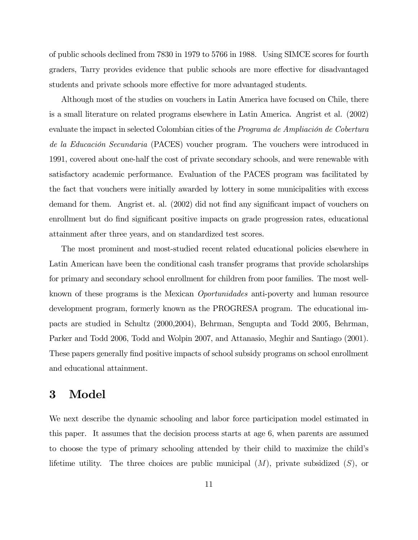of public schools declined from 7830 in 1979 to 5766 in 1988. Using SIMCE scores for fourth graders, Tarry provides evidence that public schools are more effective for disadvantaged students and private schools more effective for more advantaged students.

Although most of the studies on vouchers in Latin America have focused on Chile, there is a small literature on related programs elsewhere in Latin America. Angrist et al. (2002) evaluate the impact in selected Colombian cities of the Programa de Ampliación de Cobertura de la Educación Secundaria (PACES) voucher program. The vouchers were introduced in 1991, covered about one-half the cost of private secondary schools, and were renewable with satisfactory academic performance. Evaluation of the PACES program was facilitated by the fact that vouchers were initially awarded by lottery in some municipalities with excess demand for them. Angrist et. al. (2002) did not find any significant impact of vouchers on enrollment but do find significant positive impacts on grade progression rates, educational attainment after three years, and on standardized test scores.

The most prominent and most-studied recent related educational policies elsewhere in Latin American have been the conditional cash transfer programs that provide scholarships for primary and secondary school enrollment for children from poor families. The most wellknown of these programs is the Mexican Oportunidades anti-poverty and human resource development program, formerly known as the PROGRESA program. The educational impacts are studied in Schultz (2000,2004), Behrman, Sengupta and Todd 2005, Behrman, Parker and Todd 2006, Todd and Wolpin 2007, and Attanasio, Meghir and Santiago (2001). These papers generally find positive impacts of school subsidy programs on school enrollment and educational attainment.

## 3 Model

We next describe the dynamic schooling and labor force participation model estimated in this paper. It assumes that the decision process starts at age 6, when parents are assumed to choose the type of primary schooling attended by their child to maximize the child's lifetime utility. The three choices are public municipal  $(M)$ , private subsidized  $(S)$ , or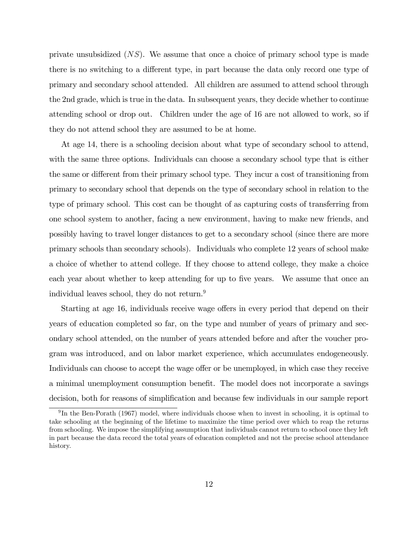private unsubsidized  $(NS)$ . We assume that once a choice of primary school type is made there is no switching to a different type, in part because the data only record one type of primary and secondary school attended. All children are assumed to attend school through the 2nd grade, which is true in the data. In subsequent years, they decide whether to continue attending school or drop out. Children under the age of 16 are not allowed to work, so if they do not attend school they are assumed to be at home.

At age 14, there is a schooling decision about what type of secondary school to attend, with the same three options. Individuals can choose a secondary school type that is either the same or different from their primary school type. They incur a cost of transitioning from primary to secondary school that depends on the type of secondary school in relation to the type of primary school. This cost can be thought of as capturing costs of transferring from one school system to another, facing a new environment, having to make new friends, and possibly having to travel longer distances to get to a secondary school (since there are more primary schools than secondary schools). Individuals who complete 12 years of school make a choice of whether to attend college. If they choose to attend college, they make a choice each year about whether to keep attending for up to five years. We assume that once an individual leaves school, they do not return.9

Starting at age 16, individuals receive wage offers in every period that depend on their years of education completed so far, on the type and number of years of primary and secondary school attended, on the number of years attended before and after the voucher program was introduced, and on labor market experience, which accumulates endogeneously. Individuals can choose to accept the wage offer or be unemployed, in which case they receive a minimal unemployment consumption benefit. The model does not incorporate a savings decision, both for reasons of simplification and because few individuals in our sample report

<sup>&</sup>lt;sup>9</sup>In the Ben-Porath (1967) model, where individuals choose when to invest in schooling, it is optimal to take schooling at the beginning of the lifetime to maximize the time period over which to reap the returns from schooling. We impose the simplifying assumption that individuals cannot return to school once they left in part because the data record the total years of education completed and not the precise school attendance history.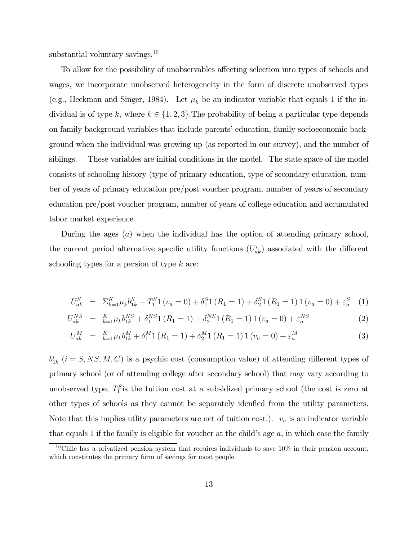substantial voluntary savings.<sup>10</sup>

To allow for the possibility of unobservables affecting selection into types of schools and wages, we incorporate unobserved heterogeneity in the form of discrete unobserved types (e.g., Heckman and Singer, 1984). Let  $\mu_k$  be an indicator variable that equals 1 if the individual is of type k, where  $k \in \{1, 2, 3\}$ . The probability of being a particular type depends on family background variables that include parents' education, family socioeconomic background when the individual was growing up (as reported in our survey), and the number of siblings. These variables are initial conditions in the model. The state space of the model consists of schooling history (type of primary education, type of secondary education, number of years of primary education pre/post voucher program, number of years of secondary education pre/post voucher program, number of years of college education and accumulated labor market experience.

During the ages (a) when the individual has the option of attending primary school, the current period alternative specific utility functions  $(U_{ak}^i)$  associated with the different schooling types for a persion of type  $k$  are:

$$
U_{ak}^{S} = \Sigma_{k=1}^{K} \mu_{k} b_{1k}^{S} - T_{1}^{S} 1 (v_{a} = 0) + \delta_{1}^{S} 1 (R_{1} = 1) + \delta_{2}^{S} 1 (R_{1} = 1) 1 (v_{a} = 0) + \varepsilon_{a}^{S} (1)
$$

$$
U_{ak}^{NS} = \,_{k=1}^{K} \mu_k b_{1k}^{NS} + \delta_1^{NS} 1 \left( R_1 = 1 \right) + \delta_2^{NS} 1 \left( R_1 = 1 \right) 1 \left( v_a = 0 \right) + \varepsilon_a^{NS} \tag{2}
$$

$$
U_{ak}^M = \kappa_{k=1}^K \mu_k b_{1k}^M + \delta_1^M 1 (R_1 = 1) + \delta_2^M 1 (R_1 = 1) 1 (v_a = 0) + \varepsilon_a^M
$$
 (3)

 $b_{1k}^i$  (i = S, NS, M, C) is a psychic cost (consumption value) of attending different types of primary school (or of attending college after secondary school) that may vary according to unobserved type,  $T_1^S$  is the tuition cost at a subsidized primary school (the cost is zero at other types of schools as they cannot be separately idenfied from the utility parameters. Note that this implies utlity parameters are net of tuition cost.).  $v_a$  is an indicator variable that equals 1 if the family is eligible for voucher at the child's age  $a$ , in which case the family

<sup>&</sup>lt;sup>10</sup>Chile has a privatized pension system that requires individuals to save  $10\%$  in their pension account, which constitutes the primary form of savings for most people.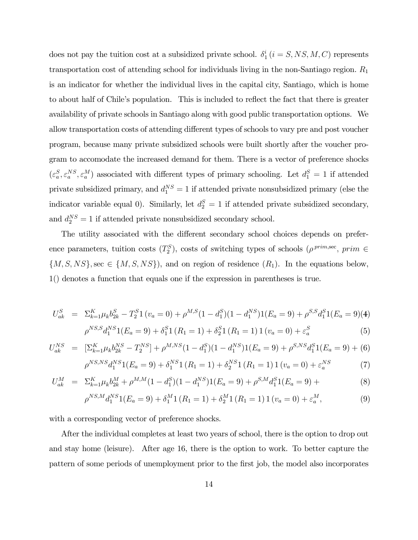does not pay the tuition cost at a subsidized private school.  $\delta_1^i$  ( $i = S, NS, M, C$ ) represents transportation cost of attending school for individuals living in the non-Santiago region.  $R_1$ is an indicator for whether the individual lives in the capital city, Santiago, which is home to about half of Chile's population. This is included to reflect the fact that there is greater availability of private schools in Santiago along with good public transportation options. We allow transportation costs of attending different types of schools to vary pre and post voucher program, because many private subsidized schools were built shortly after the voucher program to accomodate the increased demand for them. There is a vector of preference shocks  $(\varepsilon_a^S, \varepsilon_a^{NS}, \varepsilon_a^M)$  associated with different types of primary schooling. Let  $d_1^S = 1$  if attended private subsidized primary, and  $d_1^{NS} = 1$  if attended private nonsubsidized primary (else the indicator variable equal 0). Similarly, let  $d_2^S = 1$  if attended private subsidized secondary, and  $d_2^{NS} = 1$  if attended private nonsubsidized secondary school.

The utility associated with the different secondary school choices depends on preference parameters, tuition costs  $(T_2^S)$ , costs of switching types of schools  $(\rho^{prim, sec}, prim \in$  ${M, S, NS}$ , sec  $\in {M, S, NS}$ , and on region of residence  $(R_1)$ . In the equations below, 1() denotes a function that equals one if the expression in parentheses is true.

$$
U_{ak}^{S} = \Sigma_{k=1}^{K} \mu_{k} b_{2k}^{S} - T_{2}^{S} 1 (v_{a} = 0) + \rho^{M,S} (1 - d_{1}^{S}) (1 - d_{1}^{NS}) 1(E_{a} = 9) + \rho^{S,S} d_{1}^{S} 1(E_{a} = 9)(4)
$$
  

$$
\rho^{NS,S} d_{1}^{NS} 1(E_{a} = 9) + \delta_{1}^{S} 1 (R_{1} = 1) + \delta_{2}^{S} 1 (R_{1} = 1) 1 (v_{a} = 0) + \varepsilon_{a}^{S}
$$
(5)

$$
U_{ak}^{NS} = \left[ \sum_{k=1}^{K} \mu_k b_{2k}^{NS} - T_2^{NS} \right] + \rho^{M,NS} (1 - d_1^S)(1 - d_1^{NS}) \mathbf{1}(E_a = 9) + \rho^{S,NS} d_1^S \mathbf{1}(E_a = 9) + (6)
$$
  

$$
\rho^{NS,NS} d_1^{NS} \mathbf{1}(E_a = 9) + \delta_1^{NS} \mathbf{1}(R_1 = 1) + \delta_2^{NS} \mathbf{1}(R_1 = 1) \mathbf{1}(v_a = 0) + \varepsilon_a^{NS} \tag{7}
$$

$$
{}^{\beta,NS}d_1^{NS}1(E_a=9) + \delta_1^{NS}1(R_1=1) + \delta_2^{NS}1(R_1=1)1(v_a=0) + \varepsilon_a^{NS}
$$
 (7)

$$
U_{ak}^M = \Sigma_{k=1}^K \mu_k b_{2k}^M + \rho^{M,M} (1 - d_1^S)(1 - d_1^{NS}) 1(E_a = 9) + \rho^{S,M} d_1^S 1(E_a = 9) + \tag{8}
$$

$$
\rho^{NS,M} d_1^{NS} 1(E_a = 9) + \delta_1^M 1(R_1 = 1) + \delta_2^M 1(R_1 = 1) 1(v_a = 0) + \varepsilon_a^M,
$$
\n(9)

with a corresponding vector of preference shocks.

After the individual completes at least two years of school, there is the option to drop out and stay home (leisure). After age 16, there is the option to work. To better capture the pattern of some periods of unemployment prior to the first job, the model also incorporates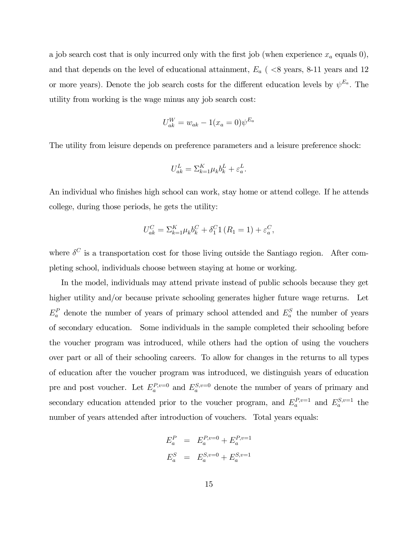a job search cost that is only incurred only with the first job (when experience  $x_a$  equals 0), and that depends on the level of educational attainment,  $E_a$  ( $\langle 8 \rangle$  years, 8-11 years and 12 or more years). Denote the job search costs for the different education levels by  $\psi^{E_a}$ . The utility from working is the wage minus any job search cost:

$$
U_{ak}^W = w_{ak} - 1(x_a = 0)\psi^{E_a}
$$

The utility from leisure depends on preference parameters and a leisure preference shock:

$$
U^L_{ak} = \Sigma^K_{k=1} \mu_k b^L_k + \varepsilon^L_a.
$$

An individual who finishes high school can work, stay home or attend college. If he attends college, during those periods, he gets the utility:

$$
U_{ak}^C = \sum_{k=1}^K \mu_k b_k^C + \delta_1^C 1 (R_1 = 1) + \varepsilon_a^C,
$$

where  $\delta^C$  is a transportation cost for those living outside the Santiago region. After completing school, individuals choose between staying at home or working.

In the model, individuals may attend private instead of public schools because they get higher utility and/or because private schooling generates higher future wage returns. Let  $E_a^P$  denote the number of years of primary school attended and  $E_a^S$  the number of years of secondary education. Some individuals in the sample completed their schooling before the voucher program was introduced, while others had the option of using the vouchers over part or all of their schooling careers. To allow for changes in the returns to all types of education after the voucher program was introduced, we distinguish years of education pre and post voucher. Let  $E_a^{P,v=0}$  and  $E_a^{S,v=0}$  denote the number of years of primary and secondary education attended prior to the voucher program, and  $E_a^{P,v=1}$  and  $E_a^{S,v=1}$  the number of years attended after introduction of vouchers. Total years equals:

$$
E_a^P = E_a^{P,v=0} + E_a^{P,v=1}
$$
  

$$
E_a^S = E_a^{S,v=0} + E_a^{S,v=1}
$$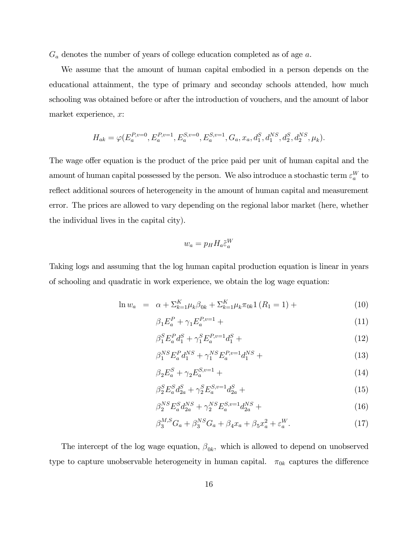$G_a$  denotes the number of years of college education completed as of age  $a$ .

We assume that the amount of human capital embodied in a person depends on the educational attainment, the type of primary and seconday schools attended, how much schooling was obtained before or after the introduction of vouchers, and the amount of labor market experience, x:

$$
H_{ak}=\varphi\big(E_a^{P,v=0},E_a^{P,v=1},E_a^{S,v=0},E_a^{S,v=1},G_a,x_a,d_1^S,d_1^{NS},d_2^S,d_2^{NS},\mu_k\big).
$$

The wage offer equation is the product of the price paid per unit of human capital and the amount of human capital possessed by the person. We also introduce a stochastic term  $\varepsilon_a^W$  to reflect additional sources of heterogeneity in the amount of human capital and measurement error. The prices are allowed to vary depending on the regional labor market (here, whether the individual lives in the capital city).

$$
w_a = p_H H_a \tilde{\varepsilon}_a^W
$$

Taking logs and assuming that the log human capital production equation is linear in years of schooling and quadratic in work experience, we obtain the log wage equation:

$$
\ln w_a = \alpha + \sum_{k=1}^K \mu_k \beta_{0k} + \sum_{k=1}^K \mu_k \pi_{0k} 1 (R_1 = 1) + \tag{10}
$$

$$
\beta_1 E_a^P + \gamma_1 E_a^{P,v=1} + \tag{11}
$$

$$
\beta_1^S E_a^P d_1^S + \gamma_1^S E_a^{P, v=1} d_1^S + \tag{12}
$$

$$
\beta_1^{NS} E_a^P d_1^{NS} + \gamma_1^{NS} E_a^{P,v=1} d_1^{NS} + \tag{13}
$$

$$
\beta_2 E_a^S + \gamma_2 E_a^{S, v=1} + \tag{14}
$$

$$
\beta_2^S E_a^S d_{2a}^S + \gamma_2^S E_a^{S, v=1} d_{2a}^S + \tag{15}
$$

$$
\beta_2^{NS} E_a^S d_{2a}^{NS} + \gamma_2^{NS} E_a^{S,v=1} d_{2a}^{NS} + \tag{16}
$$

$$
\beta_3^{M,S} G_a + \beta_3^{NS} G_a + \beta_4 x_a + \beta_5 x_a^2 + \varepsilon_a^W. \tag{17}
$$

The intercept of the log wage equation,  $\beta_{0k}$ , which is allowed to depend on unobserved type to capture unobservable heterogeneity in human capital.  $\pi_{0k}$  captures the difference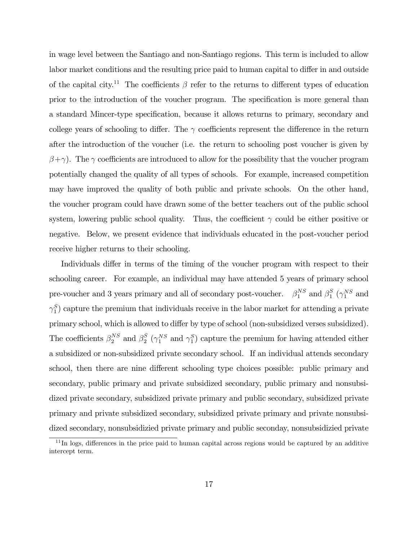in wage level between the Santiago and non-Santiago regions. This term is included to allow labor market conditions and the resulting price paid to human capital to differ in and outside of the capital city.<sup>11</sup> The coefficients  $\beta$  refer to the returns to different types of education prior to the introduction of the voucher program. The specification is more general than a standard Mincer-type specification, because it allows returns to primary, secondary and college years of schooling to differ. The  $\gamma$  coefficients represent the difference in the return after the introduction of the voucher (i.e. the return to schooling post voucher is given by  $(\beta + \gamma)$ . The  $\gamma$  coefficients are introduced to allow for the possibility that the voucher program potentially changed the quality of all types of schools. For example, increased competition may have improved the quality of both public and private schools. On the other hand, the voucher program could have drawn some of the better teachers out of the public school system, lowering public school quality. Thus, the coefficient  $\gamma$  could be either positive or negative. Below, we present evidence that individuals educated in the post-voucher period receive higher returns to their schooling.

Individuals differ in terms of the timing of the voucher program with respect to their schooling career. For example, an individual may have attended 5 years of primary school pre-voucher and 3 years primary and all of secondary post-voucher.  $\beta_1^{NS}$  and  $\beta_1^S$  ( $\gamma_1^{NS}$  and  $\gamma_1^S$ ) capture the premium that individuals receive in the labor market for attending a private primary school, which is allowed to differ by type of school (non-subsidized verses subsidized). The coefficients  $\beta_2^{NS}$  and  $\beta_2^S$  ( $\gamma_1^{NS}$  and  $\gamma_1^S$ ) capture the premium for having attended either a subsidized or non-subsidized private secondary school. If an individual attends secondary school, then there are nine different schooling type choices possible: public primary and secondary, public primary and private subsidized secondary, public primary and nonsubsidized private secondary, subsidized private primary and public secondary, subsidized private primary and private subsidized secondary, subsidized private primary and private nonsubsidized secondary, nonsubsidizied private primary and public seconday, nonsubsidizied private

 $11$ In logs, differences in the price paid to human capital across regions would be captured by an additive intercept term.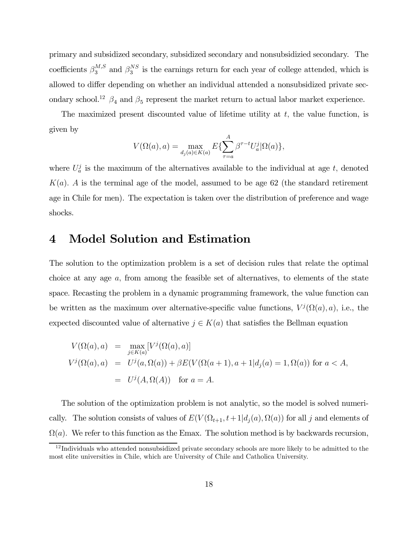primary and subsidized secondary, subsidized secondary and nonsubsidizied secondary. The coefficients  $\beta_3^{M,S}$  and  $\beta_3^{NS}$  is the earnings return for each year of college attended, which is allowed to differ depending on whether an individual attended a nonsubsidized private secondary school.<sup>12</sup>  $\beta_4$  and  $\beta_5$  represent the market return to actual labor market experience.

The maximized present discounted value of lifetime utility at  $t$ , the value function, is given by

$$
V(\Omega(a),a) = \max_{d_j(a)\in K(a)} E\{\sum_{\tau=a}^A \beta^{\tau-t} U_a^j | \Omega(a)\},\
$$

where  $U_a^j$  is the maximum of the alternatives available to the individual at age t, denoted  $K(a)$ . A is the terminal age of the model, assumed to be age 62 (the standard retirement age in Chile for men). The expectation is taken over the distribution of preference and wage shocks.

### 4 Model Solution and Estimation

The solution to the optimization problem is a set of decision rules that relate the optimal choice at any age a, from among the feasible set of alternatives, to elements of the state space. Recasting the problem in a dynamic programming framework, the value function can be written as the maximum over alternative-specific value functions,  $V^{j}(\Omega(a), a)$ , i.e., the expected discounted value of alternative  $j \in K(a)$  that satisfies the Bellman equation

$$
V(\Omega(a),a) = \max_{j \in K(a)} [V^j(\Omega(a),a)]
$$
  
\n
$$
V^j(\Omega(a),a) = U^j(a,\Omega(a)) + \beta E(V(\Omega(a+1),a+1|d_j(a)=1,\Omega(a)) \text{ for } a < A,
$$
  
\n
$$
= U^j(A,\Omega(A)) \text{ for } a = A.
$$

The solution of the optimization problem is not analytic, so the model is solved numerically. The solution consists of values of  $E(V(\Omega_{t+1}, t+1|d_i(a), \Omega(a))$  for all j and elements of  $\Omega(a)$ . We refer to this function as the Emax. The solution method is by backwards recursion,

 $12$ Individuals who attended nonsubsidized private secondary schools are more likely to be admitted to the most elite universities in Chile, which are University of Chile and Catholica University.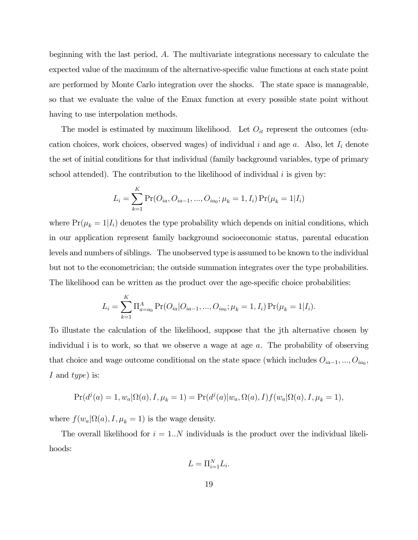beginning with the last period, A. The multivariate integrations necessary to calculate the expected value of the maximum of the alternative-specific value functions at each state point are performed by Monte Carlo integration over the shocks. The state space is manageable, so that we evaluate the value of the Emax function at every possible state point without having to use interpolation methods.

The model is estimated by maximum likelihood. Let  $O_{it}$  represent the outcomes (education choices, work choices, observed wages) of individual i and age  $a$ . Also, let  $I_i$  denote the set of initial conditions for that individual (family background variables, type of primary school attended). The contribution to the likelihood of individual  $i$  is given by:

$$
L_i = \sum_{k=1}^{K} \Pr(O_{ia}, O_{ia-1}, ..., O_{ia_0}; \mu_k = 1, I_i) \Pr(\mu_k = 1 | I_i)
$$

where  $Pr(\mu_k = 1 | I_i)$  denotes the type probability which depends on initial conditions, which in our application represent family background socioeconomic status, parental education levels and numbers of siblings. The unobserved type is assumed to be known to the individual but not to the econometrician; the outside summation integrates over the type probabilities. The likelihood can be written as the product over the age-specific choice probabilities:

$$
L_i = \sum_{k=1}^{K} \Pi_{a=a_0}^{A} \Pr(O_{ia}|O_{ia-1},...,O_{ia_0};\mu_k=1,I_i) \Pr(\mu_k=1|I_i).
$$

To illustate the calculation of the likelihood, suppose that the jth alternative chosen by individual i is to work, so that we observe a wage at age  $a$ . The probability of observing that choice and wage outcome conditional on the state space (which includes  $O_{ia-1}, ..., O_{ia_0}$ ) I and type) is:

$$
Pr(d^{j}(a) = 1, w_{a}|\Omega(a), I, \mu_{k} = 1) = Pr(d^{j}(a)|w_{a}, \Omega(a), I)f(w_{a}|\Omega(a), I, \mu_{k} = 1),
$$

where  $f(w_a|\Omega(a), I, \mu_k = 1)$  is the wage density.

The overall likelihood for  $i = 1..N$  individuals is the product over the individual likelihoods:

$$
L = \Pi_{i=1}^{N} L_i.
$$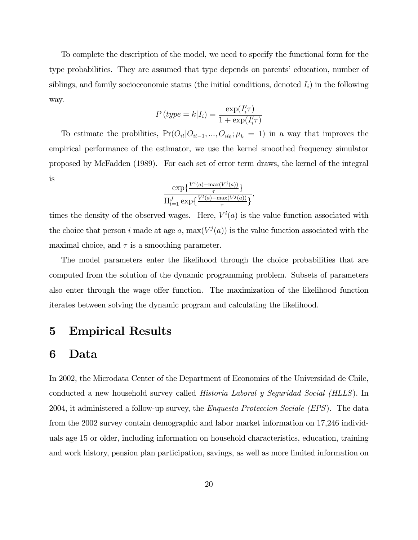To complete the description of the model, we need to specify the functional form for the type probabilities. They are assumed that type depends on parents' education, number of siblings, and family socioeconomic status (the initial conditions, denoted  $I_i$ ) in the following way.

$$
P(type = k|I_i) = \frac{\exp(I'_i \tau)}{1 + \exp(I'_i \tau)}
$$

To estimate the probilities,  $Pr(O_{it}|O_{it-1}, ..., O_{it_0}; \mu_k = 1)$  in a way that improves the empirical performance of the estimator, we use the kernel smoothed frequency simulator proposed by McFadden (1989). For each set of error term draws, the kernel of the integral is

$$
\frac{\exp\left\{\frac{V^i(a)-\max(V^j(a))}{\tau}\right\}}{\prod_{l=1}^J \exp\left\{\frac{V^l(a)-\max(V^j(a))}{\tau}\right\}},
$$

times the density of the observed wages. Here,  $V^i(a)$  is the value function associated with the choice that person i made at age a,  $\max(V^j(a))$  is the value function associated with the maximal choice, and  $\tau$  is a smoothing parameter.

The model parameters enter the likelihood through the choice probabilities that are computed from the solution of the dynamic programming problem. Subsets of parameters also enter through the wage offer function. The maximization of the likelihood function iterates between solving the dynamic program and calculating the likelihood.

## 5 Empirical Results

### 6 Data

In 2002, the Microdata Center of the Department of Economics of the Universidad de Chile, conducted a new household survey called Historia Laboral y Seguridad Social (HLLS). In 2004, it administered a follow-up survey, the *Enquesta Proteccion Sociale (EPS)*. The data from the 2002 survey contain demographic and labor market information on 17,246 individuals age 15 or older, including information on household characteristics, education, training and work history, pension plan participation, savings, as well as more limited information on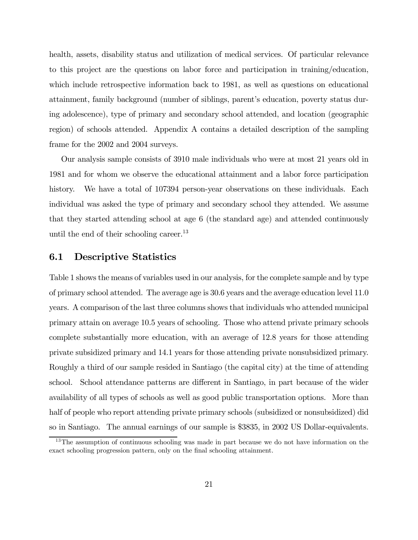health, assets, disability status and utilization of medical services. Of particular relevance to this project are the questions on labor force and participation in training/education, which include retrospective information back to 1981, as well as questions on educational attainment, family background (number of siblings, parent's education, poverty status during adolescence), type of primary and secondary school attended, and location (geographic region) of schools attended. Appendix A contains a detailed description of the sampling frame for the 2002 and 2004 surveys.

Our analysis sample consists of 3910 male individuals who were at most 21 years old in 1981 and for whom we observe the educational attainment and a labor force participation history. We have a total of 107394 person-year observations on these individuals. Each individual was asked the type of primary and secondary school they attended. We assume that they started attending school at age 6 (the standard age) and attended continuously until the end of their schooling career.<sup>13</sup>

#### 6.1 Descriptive Statistics

Table 1 shows the means of variables used in our analysis, for the complete sample and by type of primary school attended. The average age is 30.6 years and the average education level 11.0 years. A comparison of the last three columns shows that individuals who attended municipal primary attain on average 10.5 years of schooling. Those who attend private primary schools complete substantially more education, with an average of 12.8 years for those attending private subsidized primary and 14.1 years for those attending private nonsubsidized primary. Roughly a third of our sample resided in Santiago (the capital city) at the time of attending school. School attendance patterns are different in Santiago, in part because of the wider availability of all types of schools as well as good public transportation options. More than half of people who report attending private primary schools (subsidized or nonsubsidized) did so in Santiago. The annual earnings of our sample is \$3835, in 2002 US Dollar-equivalents.

<sup>&</sup>lt;sup>13</sup>The assumption of continuous schooling was made in part because we do not have information on the exact schooling progression pattern, only on the final schooling attainment.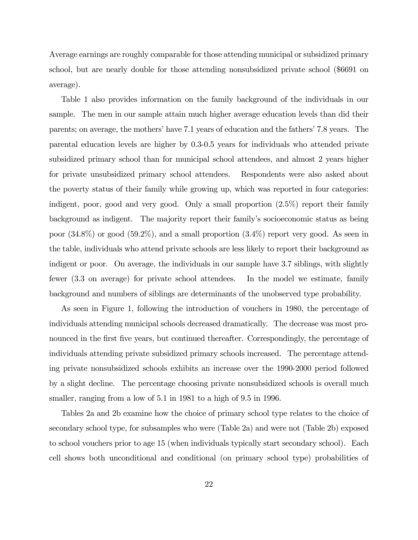Average earnings are roughly comparable for those attending municipal or subsidized primary school, but are nearly double for those attending nonsubsidized private school (\$6691 on average).

Table 1 also provides information on the family background of the individuals in our sample. The men in our sample attain much higher average education levels than did their parents; on average, the mothers' have 7.1 years of education and the fathers' 7.8 years. The parental education levels are higher by 0.3-0.5 years for individuals who attended private subsidized primary school than for municipal school attendees, and almost 2 years higher for private unsubsidized primary school attendees. Respondents were also asked about the poverty status of their family while growing up, which was reported in four categories: indigent, poor, good and very good. Only a small proportion (2.5%) report their family background as indigent. The majority report their family's socioeconomic status as being poor (34.8%) or good (59.2%), and a small proportion (3.4%) report very good. As seen in the table, individuals who attend private schools are less likely to report their background as indigent or poor. On average, the individuals in our sample have 3.7 siblings, with slightly fewer (3.3 on average) for private school attendees. In the model we estimate, family background and numbers of siblings are determinants of the unobserved type probability.

As seen in Figure 1, following the introduction of vouchers in 1980, the percentage of individuals attending municipal schools decreased dramatically. The decrease was most pronounced in the first five years, but continued thereafter. Correspondingly, the percentage of individuals attending private subsidized primary schools increased. The percentage attending private nonsubsidized schools exhibits an increase over the 1990-2000 period followed by a slight decline. The percentage choosing private nonsubsidized schools is overall much smaller, ranging from a low of  $5.1$  in 1981 to a high of  $9.5$  in 1996.

Tables 2a and 2b examine how the choice of primary school type relates to the choice of secondary school type, for subsamples who were (Table 2a) and were not (Table 2b) exposed to school vouchers prior to age 15 (when individuals typically start secondary school). Each cell shows both unconditional and conditional (on primary school type) probabilities of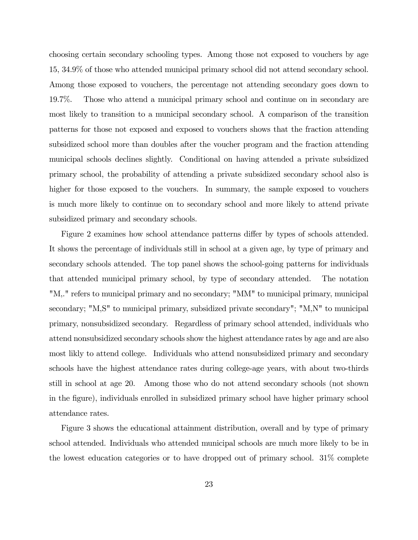choosing certain secondary schooling types. Among those not exposed to vouchers by age 15, 34.9% of those who attended municipal primary school did not attend secondary school. Among those exposed to vouchers, the percentage not attending secondary goes down to 19.7%. Those who attend a municipal primary school and continue on in secondary are most likely to transition to a municipal secondary school. A comparison of the transition patterns for those not exposed and exposed to vouchers shows that the fraction attending subsidized school more than doubles after the voucher program and the fraction attending municipal schools declines slightly. Conditional on having attended a private subsidized primary school, the probability of attending a private subsidized secondary school also is higher for those exposed to the vouchers. In summary, the sample exposed to vouchers is much more likely to continue on to secondary school and more likely to attend private subsidized primary and secondary schools.

Figure 2 examines how school attendance patterns differ by types of schools attended. It shows the percentage of individuals still in school at a given age, by type of primary and secondary schools attended. The top panel shows the school-going patterns for individuals that attended municipal primary school, by type of secondary attended. The notation "M,." refers to municipal primary and no secondary; "MM" to municipal primary, municipal secondary; "M,S" to municipal primary, subsidized private secondary"; "M,N" to municipal primary, nonsubsidized secondary. Regardless of primary school attended, individuals who attend nonsubsidized secondary schools show the highest attendance rates by age and are also most likly to attend college. Individuals who attend nonsubsidized primary and secondary schools have the highest attendance rates during college-age years, with about two-thirds still in school at age 20. Among those who do not attend secondary schools (not shown in the figure), individuals enrolled in subsidized primary school have higher primary school attendance rates.

Figure 3 shows the educational attainment distribution, overall and by type of primary school attended. Individuals who attended municipal schools are much more likely to be in the lowest education categories or to have dropped out of primary school. 31% complete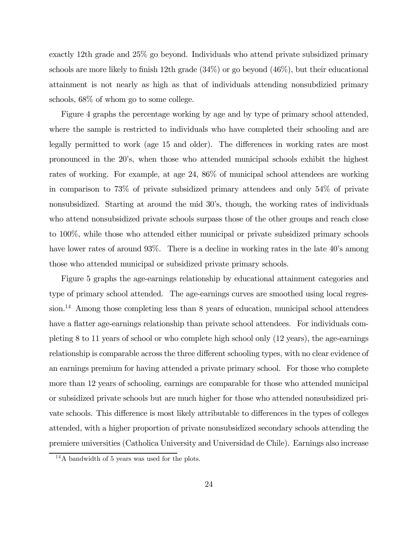exactly 12th grade and 25% go beyond. Individuals who attend private subsidized primary schools are more likely to finish 12th grade (34%) or go beyond (46%), but their educational attainment is not nearly as high as that of individuals attending nonsubdizied primary schools, 68% of whom go to some college.

Figure 4 graphs the percentage working by age and by type of primary school attended, where the sample is restricted to individuals who have completed their schooling and are legally permitted to work (age 15 and older). The differences in working rates are most pronounced in the 20's, when those who attended municipal schools exhibit the highest rates of working. For example, at age 24, 86% of municipal school attendees are working in comparison to 73% of private subsidized primary attendees and only 54% of private nonsubsidized. Starting at around the mid 30's, though, the working rates of individuals who attend nonsubsidized private schools surpass those of the other groups and reach close to 100%, while those who attended either municipal or private subsidized primary schools have lower rates of around 93%. There is a decline in working rates in the late 40's among those who attended municipal or subsidized private primary schools.

Figure 5 graphs the age-earnings relationship by educational attainment categories and type of primary school attended. The age-earnings curves are smoothed using local regression.<sup>14</sup> Among those completing less than 8 years of education, municipal school attendees have a flatter age-earnings relationship than private school attendees. For individuals completing 8 to 11 years of school or who complete high school only (12 years), the age-earnings relationship is comparable across the three different schooling types, with no clear evidence of an earnings premium for having attended a private primary school. For those who complete more than 12 years of schooling, earnings are comparable for those who attended municipal or subsidized private schools but are much higher for those who attended nonsubsidized private schools. This difference is most likely attributable to differences in the types of colleges attended, with a higher proportion of private nonsubsidized secondary schools attending the premiere universities (Catholica University and Universidad de Chile). Earnings also increase

<sup>&</sup>lt;sup>14</sup>A bandwidth of 5 years was used for the plots.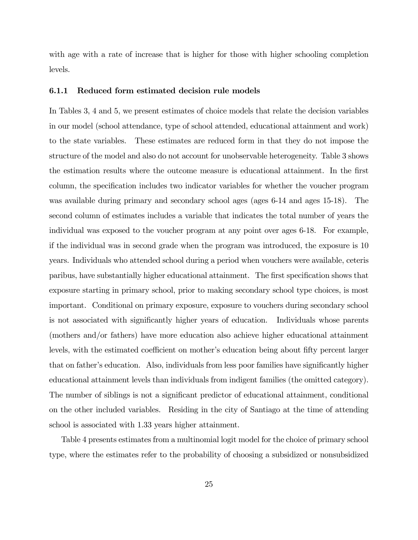with age with a rate of increase that is higher for those with higher schooling completion levels.

#### 6.1.1 Reduced form estimated decision rule models

In Tables 3, 4 and 5, we present estimates of choice models that relate the decision variables in our model (school attendance, type of school attended, educational attainment and work) to the state variables. These estimates are reduced form in that they do not impose the structure of the model and also do not account for unobservable heterogeneity. Table 3 shows the estimation results where the outcome measure is educational attainment. In the first column, the specification includes two indicator variables for whether the voucher program was available during primary and secondary school ages (ages 6-14 and ages 15-18). The second column of estimates includes a variable that indicates the total number of years the individual was exposed to the voucher program at any point over ages 6-18. For example, if the individual was in second grade when the program was introduced, the exposure is 10 years. Individuals who attended school during a period when vouchers were available, ceteris paribus, have substantially higher educational attainment. The first specification shows that exposure starting in primary school, prior to making secondary school type choices, is most important. Conditional on primary exposure, exposure to vouchers during secondary school is not associated with significantly higher years of education. Individuals whose parents (mothers and/or fathers) have more education also achieve higher educational attainment levels, with the estimated coefficient on mother's education being about fifty percent larger that on father's education. Also, individuals from less poor families have significantly higher educational attainment levels than individuals from indigent families (the omitted category). The number of siblings is not a significant predictor of educational attainment, conditional on the other included variables. Residing in the city of Santiago at the time of attending school is associated with 1.33 years higher attainment.

Table 4 presents estimates from a multinomial logit model for the choice of primary school type, where the estimates refer to the probability of choosing a subsidized or nonsubsidized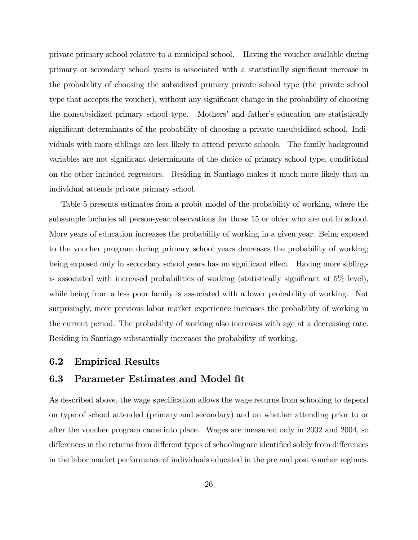private primary school relative to a municipal school. Having the voucher available during primary or secondary school years is associated with a statistically significant increase in the probability of choosing the subsidized primary private school type (the private school type that accepts the voucher), without any significant change in the probability of choosing the nonsubsidized primary school type. Mothers' and father's education are statistically significant determinants of the probability of choosing a private unsubsidized school. Individuals with more siblings are less likely to attend private schools. The family background variables are not significant determinants of the choice of primary school type, conditional on the other included regressors. Residing in Santiago makes it much more likely that an individual attends private primary school.

Table 5 presents estimates from a probit model of the probability of working, where the subsample includes all person-year observations for those 15 or older who are not in school. More years of education increases the probability of working in a given year. Being exposed to the voucher program during primary school years decreases the probability of working; being exposed only in secondary school years has no significant effect. Having more siblings is associated with increased probabilities of working (statistically significant at 5% level), while being from a less poor family is associated with a lower probability of working. Not surprisingly, more previous labor market experience increases the probability of working in the current period. The probability of working also increases with age at a decreasing rate. Residing in Santiago substantially increases the probability of working.

### 6.2 Empirical Results

#### 6.3 Parameter Estimates and Model fit

As described above, the wage specification allows the wage returns from schooling to depend on type of school attended (primary and secondary) and on whether attending prior to or after the voucher program came into place. Wages are measured only in 2002 and 2004, so differences in the returns from different types of schooling are identified solely from differences in the labor market performance of individuals educated in the pre and post voucher regimes.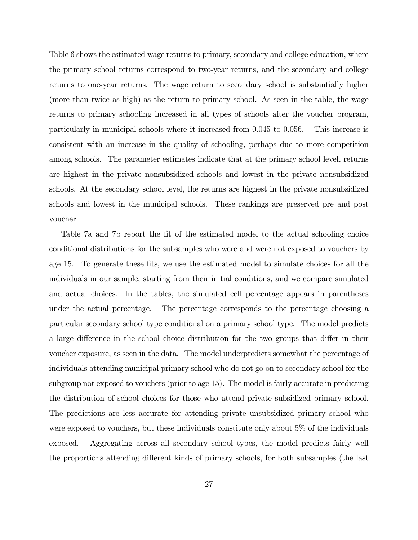Table 6 shows the estimated wage returns to primary, secondary and college education, where the primary school returns correspond to two-year returns, and the secondary and college returns to one-year returns. The wage return to secondary school is substantially higher (more than twice as high) as the return to primary school. As seen in the table, the wage returns to primary schooling increased in all types of schools after the voucher program, particularly in municipal schools where it increased from 0.045 to 0.056. This increase is consistent with an increase in the quality of schooling, perhaps due to more competition among schools. The parameter estimates indicate that at the primary school level, returns are highest in the private nonsubsidized schools and lowest in the private nonsubsidized schools. At the secondary school level, the returns are highest in the private nonsubsidized schools and lowest in the municipal schools. These rankings are preserved pre and post voucher.

Table 7a and 7b report the fit of the estimated model to the actual schooling choice conditional distributions for the subsamples who were and were not exposed to vouchers by age 15. To generate these fits, we use the estimated model to simulate choices for all the individuals in our sample, starting from their initial conditions, and we compare simulated and actual choices. In the tables, the simulated cell percentage appears in parentheses under the actual percentage. The percentage corresponds to the percentage choosing a particular secondary school type conditional on a primary school type. The model predicts a large difference in the school choice distribution for the two groups that differ in their voucher exposure, as seen in the data. The model underpredicts somewhat the percentage of individuals attending municipal primary school who do not go on to secondary school for the subgroup not exposed to vouchers (prior to age 15). The model is fairly accurate in predicting the distribution of school choices for those who attend private subsidized primary school. The predictions are less accurate for attending private unsubsidized primary school who were exposed to vouchers, but these individuals constitute only about 5% of the individuals exposed. Aggregating across all secondary school types, the model predicts fairly well the proportions attending different kinds of primary schools, for both subsamples (the last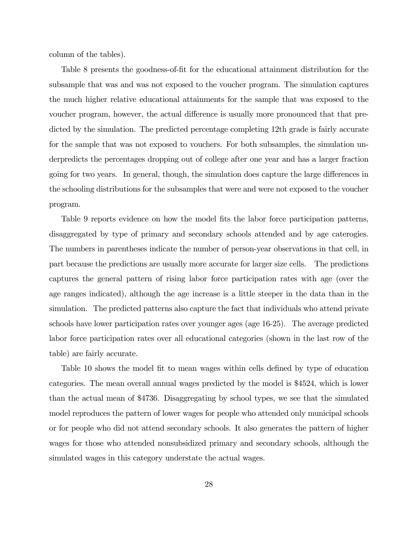column of the tables).

Table 8 presents the goodness-of-fit for the educational attainment distribution for the subsample that was and was not exposed to the voucher program. The simulation captures the much higher relative educational attainments for the sample that was exposed to the voucher program, however, the actual difference is usually more pronounced that that predicted by the simulation. The predicted percentage completing 12th grade is fairly accurate for the sample that was not exposed to vouchers. For both subsamples, the simulation underpredicts the percentages dropping out of college after one year and has a larger fraction going for two years. In general, though, the simulation does capture the large differences in the schooling distributions for the subsamples that were and were not exposed to the voucher program.

Table 9 reports evidence on how the model fits the labor force participation patterns, disaggregated by type of primary and secondary schools attended and by age caterogies. The numbers in parentheses indicate the number of person-year observations in that cell, in part because the predictions are usually more accurate for larger size cells. The predictions captures the general pattern of rising labor force participation rates with age (over the age ranges indicated), although the age increase is a little steeper in the data than in the simulation. The predicted patterns also capture the fact that individuals who attend private schools have lower participation rates over younger ages (age 16-25). The average predicted labor force participation rates over all educational categories (shown in the last row of the table) are fairly accurate.

Table 10 shows the model fit to mean wages within cells defined by type of education categories. The mean overall annual wages predicted by the model is \$4524, which is lower than the actual mean of \$4736. Disaggregating by school types, we see that the simulated model reproduces the pattern of lower wages for people who attended only municipal schools or for people who did not attend secondary schools. It also generates the pattern of higher wages for those who attended nonsubsidized primary and secondary schools, although the simulated wages in this category understate the actual wages.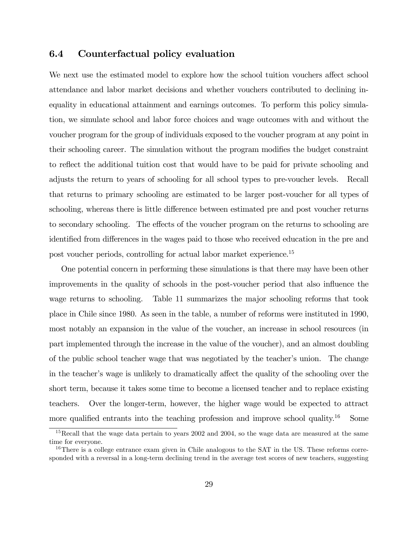### 6.4 Counterfactual policy evaluation

We next use the estimated model to explore how the school tuition vouchers affect school attendance and labor market decisions and whether vouchers contributed to declining inequality in educational attainment and earnings outcomes. To perform this policy simulation, we simulate school and labor force choices and wage outcomes with and without the voucher program for the group of individuals exposed to the voucher program at any point in their schooling career. The simulation without the program modifies the budget constraint to reflect the additional tuition cost that would have to be paid for private schooling and adjusts the return to years of schooling for all school types to pre-voucher levels. Recall that returns to primary schooling are estimated to be larger post-voucher for all types of schooling, whereas there is little difference between estimated pre and post voucher returns to secondary schooling. The effects of the voucher program on the returns to schooling are identified from differences in the wages paid to those who received education in the pre and post voucher periods, controlling for actual labor market experience.15

One potential concern in performing these simulations is that there may have been other improvements in the quality of schools in the post-voucher period that also influence the wage returns to schooling. Table 11 summarizes the major schooling reforms that took place in Chile since 1980. As seen in the table, a number of reforms were instituted in 1990, most notably an expansion in the value of the voucher, an increase in school resources (in part implemented through the increase in the value of the voucher), and an almost doubling of the public school teacher wage that was negotiated by the teacher's union. The change in the teacher's wage is unlikely to dramatically affect the quality of the schooling over the short term, because it takes some time to become a licensed teacher and to replace existing teachers. Over the longer-term, however, the higher wage would be expected to attract more qualified entrants into the teaching profession and improve school quality.<sup>16</sup> Some

<sup>&</sup>lt;sup>15</sup>Recall that the wage data pertain to years 2002 and 2004, so the wage data are measured at the same time for everyone.

<sup>&</sup>lt;sup>16</sup>There is a college entrance exam given in Chile analogous to the SAT in the US. These reforms corresponded with a reversal in a long-term declining trend in the average test scores of new teachers, suggesting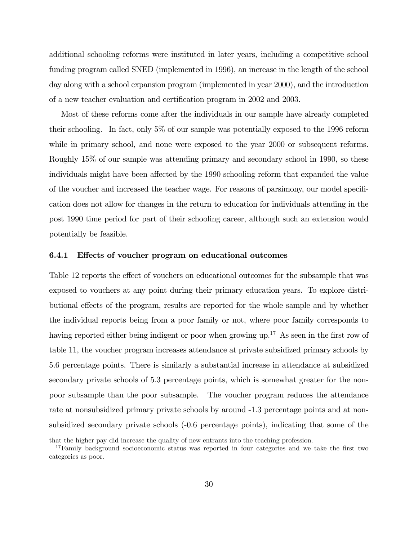additional schooling reforms were instituted in later years, including a competitive school funding program called SNED (implemented in 1996), an increase in the length of the school day along with a school expansion program (implemented in year 2000), and the introduction of a new teacher evaluation and certification program in 2002 and 2003.

Most of these reforms come after the individuals in our sample have already completed their schooling. In fact, only 5% of our sample was potentially exposed to the 1996 reform while in primary school, and none were exposed to the year 2000 or subsequent reforms. Roughly 15% of our sample was attending primary and secondary school in 1990, so these individuals might have been affected by the 1990 schooling reform that expanded the value of the voucher and increased the teacher wage. For reasons of parsimony, our model specification does not allow for changes in the return to education for individuals attending in the post 1990 time period for part of their schooling career, although such an extension would potentially be feasible.

#### 6.4.1 Effects of voucher program on educational outcomes

Table 12 reports the effect of vouchers on educational outcomes for the subsample that was exposed to vouchers at any point during their primary education years. To explore distributional effects of the program, results are reported for the whole sample and by whether the individual reports being from a poor family or not, where poor family corresponds to having reported either being indigent or poor when growing up.<sup>17</sup> As seen in the first row of table 11, the voucher program increases attendance at private subsidized primary schools by 5.6 percentage points. There is similarly a substantial increase in attendance at subsidized secondary private schools of 5.3 percentage points, which is somewhat greater for the nonpoor subsample than the poor subsample. The voucher program reduces the attendance rate at nonsubsidized primary private schools by around -1.3 percentage points and at nonsubsidized secondary private schools (-0.6 percentage points), indicating that some of the

that the higher pay did increase the quality of new entrants into the teaching profession.

<sup>&</sup>lt;sup>17</sup>Family background socioeconomic status was reported in four categories and we take the first two categories as poor.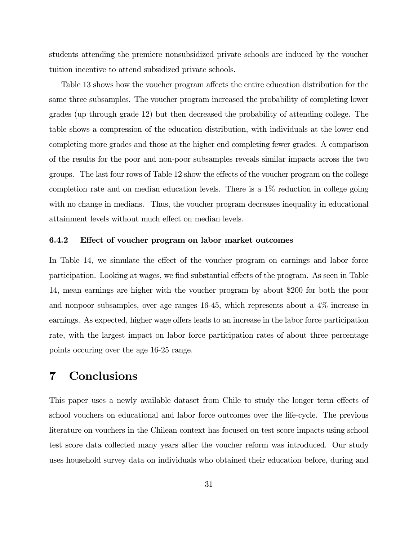students attending the premiere nonsubsidized private schools are induced by the voucher tuition incentive to attend subsidized private schools.

Table 13 shows how the voucher program affects the entire education distribution for the same three subsamples. The voucher program increased the probability of completing lower grades (up through grade 12) but then decreased the probability of attending college. The table shows a compression of the education distribution, with individuals at the lower end completing more grades and those at the higher end completing fewer grades. A comparison of the results for the poor and non-poor subsamples reveals similar impacts across the two groups. The last four rows of Table 12 show the effects of the voucher program on the college completion rate and on median education levels. There is a 1% reduction in college going with no change in medians. Thus, the voucher program decreases inequality in educational attainment levels without much effect on median levels.

#### 6.4.2 Effect of voucher program on labor market outcomes

In Table 14, we simulate the effect of the voucher program on earnings and labor force participation. Looking at wages, we find substantial effects of the program. As seen in Table 14, mean earnings are higher with the voucher program by about \$200 for both the poor and nonpoor subsamples, over age ranges 16-45, which represents about a 4% increase in earnings. As expected, higher wage offers leads to an increase in the labor force participation rate, with the largest impact on labor force participation rates of about three percentage points occuring over the age 16-25 range.

## 7 Conclusions

This paper uses a newly available dataset from Chile to study the longer term effects of school vouchers on educational and labor force outcomes over the life-cycle. The previous literature on vouchers in the Chilean context has focused on test score impacts using school test score data collected many years after the voucher reform was introduced. Our study uses household survey data on individuals who obtained their education before, during and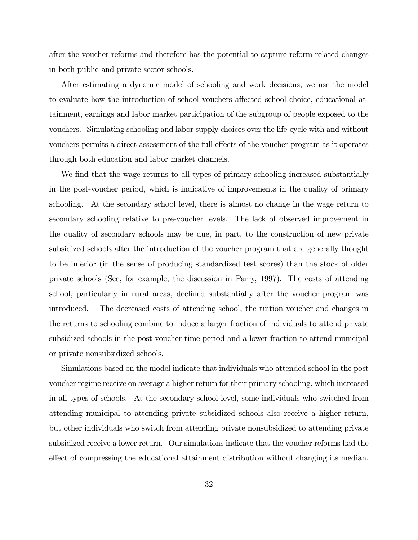after the voucher reforms and therefore has the potential to capture reform related changes in both public and private sector schools.

After estimating a dynamic model of schooling and work decisions, we use the model to evaluate how the introduction of school vouchers affected school choice, educational attainment, earnings and labor market participation of the subgroup of people exposed to the vouchers. Simulating schooling and labor supply choices over the life-cycle with and without vouchers permits a direct assessment of the full effects of the voucher program as it operates through both education and labor market channels.

We find that the wage returns to all types of primary schooling increased substantially in the post-voucher period, which is indicative of improvements in the quality of primary schooling. At the secondary school level, there is almost no change in the wage return to secondary schooling relative to pre-voucher levels. The lack of observed improvement in the quality of secondary schools may be due, in part, to the construction of new private subsidized schools after the introduction of the voucher program that are generally thought to be inferior (in the sense of producing standardized test scores) than the stock of older private schools (See, for example, the discussion in Parry, 1997). The costs of attending school, particularly in rural areas, declined substantially after the voucher program was introduced. The decreased costs of attending school, the tuition voucher and changes in the returns to schooling combine to induce a larger fraction of individuals to attend private subsidized schools in the post-voucher time period and a lower fraction to attend municipal or private nonsubsidized schools.

Simulations based on the model indicate that individuals who attended school in the post voucher regime receive on average a higher return for their primary schooling, which increased in all types of schools. At the secondary school level, some individuals who switched from attending municipal to attending private subsidized schools also receive a higher return, but other individuals who switch from attending private nonsubsidized to attending private subsidized receive a lower return. Our simulations indicate that the voucher reforms had the effect of compressing the educational attainment distribution without changing its median.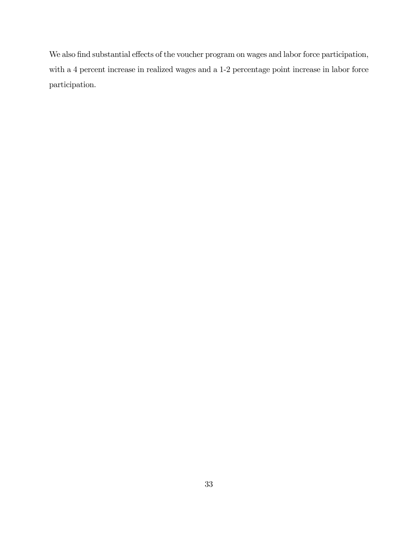We also find substantial effects of the voucher program on wages and labor force participation, with a 4 percent increase in realized wages and a 1-2 percentage point increase in labor force participation.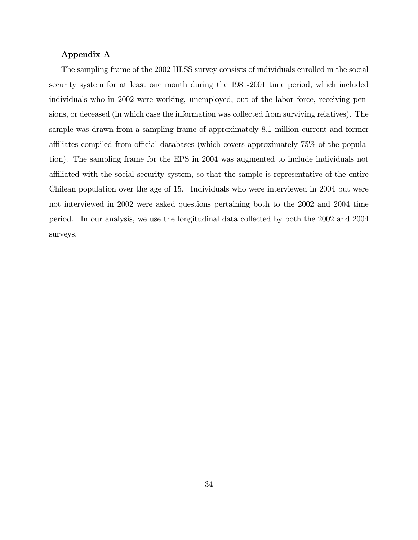#### Appendix A

The sampling frame of the 2002 HLSS survey consists of individuals enrolled in the social security system for at least one month during the 1981-2001 time period, which included individuals who in 2002 were working, unemployed, out of the labor force, receiving pensions, or deceased (in which case the information was collected from surviving relatives). The sample was drawn from a sampling frame of approximately 8.1 million current and former affiliates compiled from official databases (which covers approximately 75% of the population). The sampling frame for the EPS in 2004 was augmented to include individuals not affiliated with the social security system, so that the sample is representative of the entire Chilean population over the age of 15. Individuals who were interviewed in 2004 but were not interviewed in 2002 were asked questions pertaining both to the 2002 and 2004 time period. In our analysis, we use the longitudinal data collected by both the 2002 and 2004 surveys.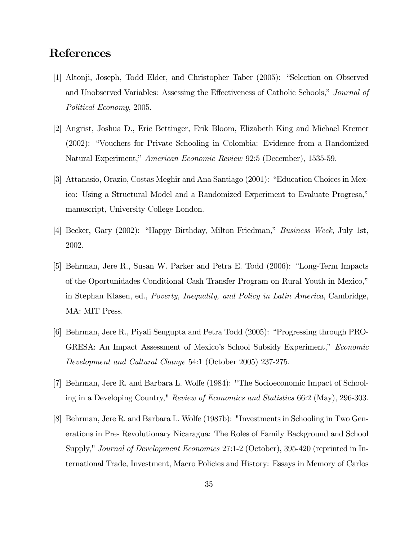## References

- [1] Altonji, Joseph, Todd Elder, and Christopher Taber (2005): "Selection on Observed and Unobserved Variables: Assessing the Effectiveness of Catholic Schools," Journal of Political Economy, 2005.
- [2] Angrist, Joshua D., Eric Bettinger, Erik Bloom, Elizabeth King and Michael Kremer (2002): "Vouchers for Private Schooling in Colombia: Evidence from a Randomized Natural Experiment," American Economic Review 92:5 (December), 1535-59.
- [3] Attanasio, Orazio, Costas Meghir and Ana Santiago (2001): "Education Choices in Mexico: Using a Structural Model and a Randomized Experiment to Evaluate Progresa," manuscript, University College London.
- [4] Becker, Gary (2002): "Happy Birthday, Milton Friedman," Business Week, July 1st, 2002.
- [5] Behrman, Jere R., Susan W. Parker and Petra E. Todd (2006): "Long-Term Impacts of the Oportunidades Conditional Cash Transfer Program on Rural Youth in Mexico," in Stephan Klasen, ed., Poverty, Inequality, and Policy in Latin America, Cambridge, MA: MIT Press.
- [6] Behrman, Jere R., Piyali Sengupta and Petra Todd (2005): "Progressing through PRO-GRESA: An Impact Assessment of Mexico's School Subsidy Experiment," Economic Development and Cultural Change 54:1 (October 2005) 237-275.
- [7] Behrman, Jere R. and Barbara L. Wolfe (1984): "The Socioeconomic Impact of Schooling in a Developing Country," Review of Economics and Statistics 66:2 (May), 296-303.
- [8] Behrman, Jere R. and Barbara L. Wolfe (1987b): "Investments in Schooling in Two Generations in Pre- Revolutionary Nicaragua: The Roles of Family Background and School Supply," *Journal of Development Economics* 27:1-2 (October), 395-420 (reprinted in International Trade, Investment, Macro Policies and History: Essays in Memory of Carlos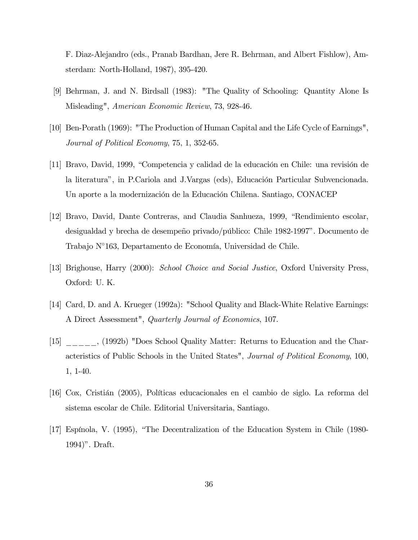F. Diaz-Alejandro (eds., Pranab Bardhan, Jere R. Behrman, and Albert Fishlow), Amsterdam: North-Holland, 1987), 395-420.

- [9] Behrman, J. and N. Birdsall (1983): "The Quality of Schooling: Quantity Alone Is Misleading", American Economic Review, 73, 928-46.
- [10] Ben-Porath (1969): "The Production of Human Capital and the Life Cycle of Earnings", Journal of Political Economy, 75, 1, 352-65.
- [11] Bravo, David, 1999, "Competencia y calidad de la educación en Chile: una revisión de la literatura", in P.Cariola and J.Vargas (eds), Educación Particular Subvencionada. Un aporte a la modernización de la Educación Chilena. Santiago, CONACEP
- [12] Bravo, David, Dante Contreras, and Claudia Sanhueza, 1999, "Rendimiento escolar, desigualdad y brecha de desempeño privado/público: Chile 1982-1997". Documento de Trabajo N◦163, Departamento de Economía, Universidad de Chile.
- [13] Brighouse, Harry (2000): School Choice and Social Justice, Oxford University Press, Oxford: U. K.
- [14] Card, D. and A. Krueger (1992a): "School Quality and Black-White Relative Earnings: A Direct Assessment", Quarterly Journal of Economics, 107.
- [15] \_\_\_\_\_, (1992b) "Does School Quality Matter: Returns to Education and the Characteristics of Public Schools in the United States", Journal of Political Economy, 100, 1, 1-40.
- [16] Cox, Cristián (2005), Políticas educacionales en el cambio de siglo. La reforma del sistema escolar de Chile. Editorial Universitaria, Santiago.
- [17] Espínola, V. (1995), "The Decentralization of the Education System in Chile (1980- 1994)". Draft.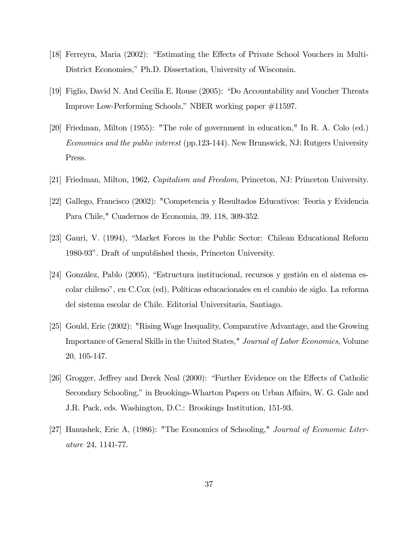- [18] Ferreyra, Maria (2002): "Estimating the Effects of Private School Vouchers in Multi-District Economies," Ph.D. Dissertation, University of Wisconsin.
- [19] Figlio, David N. And Cecilia E. Rouse (2005): "Do Accountability and Voucher Threats Improve Low-Performing Schools," NBER working paper #11597.
- [20] Friedman, Milton (1955): "The role of government in education," In R. A. Colo (ed.) Economics and the public interest (pp.123-144). New Brunswick, NJ: Rutgers University Press.
- [21] Friedman, Milton, 1962, Capitalism and Freedom, Princeton, NJ: Princeton University.
- [22] Gallego, Francisco (2002): "Competencia y Resultados Educativos: Teoria y Evidencia Para Chile," Cuadernos de Economia, 39, 118, 309-352.
- [23] Gauri, V. (1994), "Market Forces in the Public Sector: Chilean Educational Reform 1980-93". Draft of unpublished thesis, Princeton University.
- [24] González, Pablo (2005), "Estructura institucional, recursos y gestión en el sistema escolar chileno", en C.Cox (ed), Políticas educacionales en el cambio de siglo. La reforma del sistema escolar de Chile. Editorial Universitaria, Santiago.
- [25] Gould, Eric (2002): "Rising Wage Inequality, Comparative Advantage, and the Growing Importance of General Skills in the United States," Journal of Labor Economics, Volume 20, 105-147.
- [26] Grogger, Jeffrey and Derek Neal (2000): "Further Evidence on the Effects of Catholic Secondary Schooling," in Brookings-Wharton Papers on Urban Affairs, W. G. Gale and J.R. Pack, eds. Washington, D.C.: Brookings Institution, 151-93.
- [27] Hanushek, Eric A, (1986): "The Economics of Schooling," Journal of Economic Literature 24, 1141-77.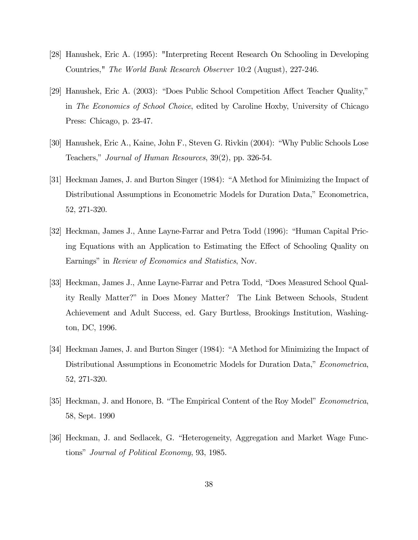- [28] Hanushek, Eric A. (1995): "Interpreting Recent Research On Schooling in Developing Countries," The World Bank Research Observer 10:2 (August), 227-246.
- [29] Hanushek, Eric A. (2003): "Does Public School Competition Affect Teacher Quality," in The Economics of School Choice, edited by Caroline Hoxby, University of Chicago Press: Chicago, p. 23-47.
- [30] Hanushek, Eric A., Kaine, John F., Steven G. Rivkin (2004): "Why Public Schools Lose Teachers," Journal of Human Resources, 39(2), pp. 326-54.
- [31] Heckman James, J. and Burton Singer (1984): "A Method for Minimizing the Impact of Distributional Assumptions in Econometric Models for Duration Data," Econometrica, 52, 271-320.
- [32] Heckman, James J., Anne Layne-Farrar and Petra Todd (1996): "Human Capital Pricing Equations with an Application to Estimating the Effect of Schooling Quality on Earnings" in Review of Economics and Statistics, Nov.
- [33] Heckman, James J., Anne Layne-Farrar and Petra Todd, "Does Measured School Quality Really Matter?" in Does Money Matter? The Link Between Schools, Student Achievement and Adult Success, ed. Gary Burtless, Brookings Institution, Washington, DC, 1996.
- [34] Heckman James, J. and Burton Singer (1984): "A Method for Minimizing the Impact of Distributional Assumptions in Econometric Models for Duration Data," *Econometrica*, 52, 271-320.
- [35] Heckman, J. and Honore, B. "The Empirical Content of the Roy Model" Econometrica, 58, Sept. 1990
- [36] Heckman, J. and Sedlacek, G. "Heterogeneity, Aggregation and Market Wage Functions" Journal of Political Economy, 93, 1985.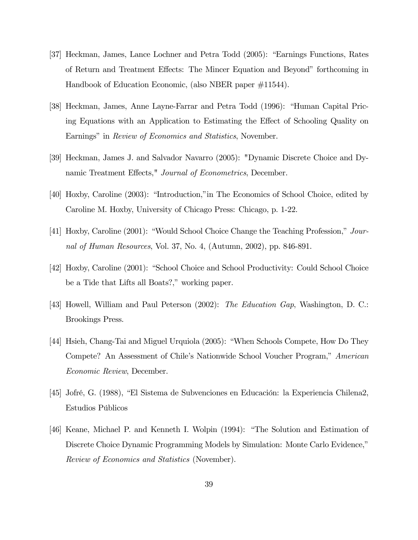- [37] Heckman, James, Lance Lochner and Petra Todd (2005): "Earnings Functions, Rates of Return and Treatment Effects: The Mincer Equation and Beyond" forthcoming in Handbook of Education Economic, (also NBER paper #11544).
- [38] Heckman, James, Anne Layne-Farrar and Petra Todd (1996): "Human Capital Pricing Equations with an Application to Estimating the Effect of Schooling Quality on Earnings" in *Review of Economics and Statistics*, November.
- [39] Heckman, James J. and Salvador Navarro (2005): "Dynamic Discrete Choice and Dynamic Treatment Effects," Journal of Econometrics, December.
- [40] Hoxby, Caroline (2003): "Introduction,"in The Economics of School Choice, edited by Caroline M. Hoxby, University of Chicago Press: Chicago, p. 1-22.
- [41] Hoxby, Caroline (2001): "Would School Choice Change the Teaching Profession," Journal of Human Resources, Vol. 37, No. 4, (Autumn, 2002), pp. 846-891.
- [42] Hoxby, Caroline (2001): "School Choice and School Productivity: Could School Choice be a Tide that Lifts all Boats?," working paper.
- [43] Howell, William and Paul Peterson (2002): The Education Gap, Washington, D. C.: Brookings Press.
- [44] Hsieh, Chang-Tai and Miguel Urquiola (2005): "When Schools Compete, How Do They Compete? An Assessment of Chile's Nationwide School Voucher Program," American Economic Review, December.
- [45] Jofré, G. (1988), "El Sistema de Subvenciones en Educación: la Experiencia Chilena2, Estudios Públicos
- [46] Keane, Michael P. and Kenneth I. Wolpin (1994): "The Solution and Estimation of Discrete Choice Dynamic Programming Models by Simulation: Monte Carlo Evidence," Review of Economics and Statistics (November).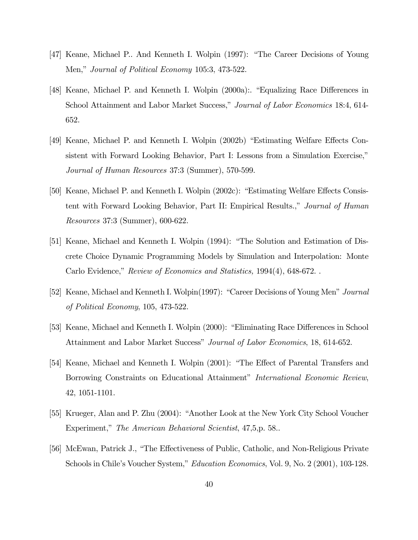- [47] Keane, Michael P.. And Kenneth I. Wolpin (1997): "The Career Decisions of Young Men," Journal of Political Economy 105:3, 473-522.
- [48] Keane, Michael P. and Kenneth I. Wolpin (2000a):. "Equalizing Race Differences in School Attainment and Labor Market Success," Journal of Labor Economics 18:4, 614- 652.
- [49] Keane, Michael P. and Kenneth I. Wolpin (2002b) "Estimating Welfare Effects Consistent with Forward Looking Behavior, Part I: Lessons from a Simulation Exercise," Journal of Human Resources 37:3 (Summer), 570-599.
- [50] Keane, Michael P. and Kenneth I. Wolpin (2002c): "Estimating Welfare Effects Consistent with Forward Looking Behavior, Part II: Empirical Results.," Journal of Human Resources 37:3 (Summer), 600-622.
- [51] Keane, Michael and Kenneth I. Wolpin (1994): "The Solution and Estimation of Discrete Choice Dynamic Programming Models by Simulation and Interpolation: Monte Carlo Evidence," Review of Economics and Statistics, 1994(4), 648-672. .
- [52] Keane, Michael and Kenneth I. Wolpin(1997): "Career Decisions of Young Men" Journal of Political Economy, 105, 473-522.
- [53] Keane, Michael and Kenneth I. Wolpin (2000): "Eliminating Race Differences in School Attainment and Labor Market Success" Journal of Labor Economics, 18, 614-652.
- [54] Keane, Michael and Kenneth I. Wolpin (2001): "The Effect of Parental Transfers and Borrowing Constraints on Educational Attainment" International Economic Review, 42, 1051-1101.
- [55] Krueger, Alan and P. Zhu (2004): "Another Look at the New York City School Voucher Experiment," The American Behavioral Scientist, 47,5,p. 58..
- [56] McEwan, Patrick J., "The Effectiveness of Public, Catholic, and Non-Religious Private Schools in Chile's Voucher System," *Education Economics*, Vol. 9, No. 2 (2001), 103-128.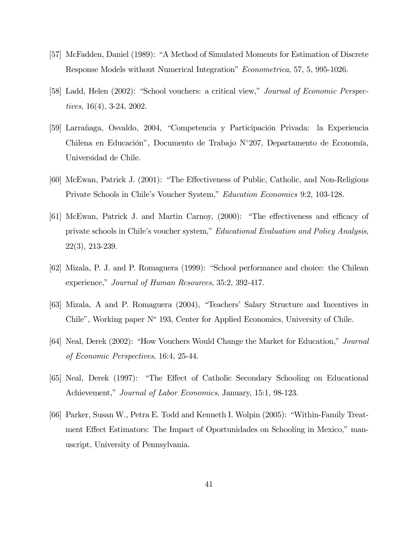- [57] McFadden, Daniel (1989): "A Method of Simulated Moments for Estimation of Discrete Response Models without Numerical Integration" Econometrica, 57, 5, 995-1026.
- [58] Ladd, Helen (2002): "School vouchers: a critical view," Journal of Economic Perspectives, 16(4), 3-24, 2002.
- [59] Larrañaga, Osvaldo, 2004, "Competencia y Participación Privada: la Experiencia Chilena en Educación", Documento de Trabajo N◦207, Departamento de Economía, Universidad de Chile.
- [60] McEwan, Patrick J. (2001): "The Effectiveness of Public, Catholic, and Non-Religious Private Schools in Chile's Voucher System," Education Economics 9:2, 103-128.
- [61] McEwan, Patrick J. and Martin Carnoy, (2000): "The effectiveness and efficacy of private schools in Chile's voucher system," Educational Evaluation and Policy Analysis, 22(3), 213-239.
- [62] Mizala, P. J. and P. Romaguera (1999): "School performance and choice: the Chilean experience," Journal of Human Resources, 35:2, 392-417.
- [63] Mizala, A and P. Romaguera (2004), "Teachers' Salary Structure and Incentives in Chile", Working paper  $N^{\circ}$  193, Center for Applied Economics, University of Chile.
- [64] Neal, Derek (2002): "How Vouchers Would Change the Market for Education," Journal of Economic Perspectives, 16:4, 25-44.
- [65] Neal, Derek (1997): "The Effect of Catholic Secondary Schooling on Educational Achievement," *Journal of Labor Economics*, January, 15:1, 98-123.
- [66] Parker, Susan W., Petra E. Todd and Kenneth I. Wolpin (2005): "Within-Family Treatment Effect Estimators: The Impact of Oportunidades on Schooling in Mexico," manuscript, University of Pennsylvania.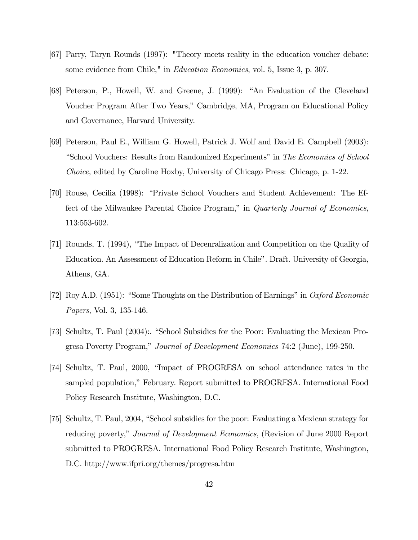- [67] Parry, Taryn Rounds (1997): "Theory meets reality in the education voucher debate: some evidence from Chile," in *Education Economics*, vol. 5, Issue 3, p. 307.
- [68] Peterson, P., Howell, W. and Greene, J. (1999): "An Evaluation of the Cleveland Voucher Program After Two Years," Cambridge, MA, Program on Educational Policy and Governance, Harvard University.
- [69] Peterson, Paul E., William G. Howell, Patrick J. Wolf and David E. Campbell (2003): "School Vouchers: Results from Randomized Experiments" in The Economics of School Choice, edited by Caroline Hoxby, University of Chicago Press: Chicago, p. 1-22.
- [70] Rouse, Cecilia (1998): "Private School Vouchers and Student Achievement: The Effect of the Milwaukee Parental Choice Program," in Quarterly Journal of Economics, 113:553-602.
- [71] Rounds, T. (1994), "The Impact of Decenralization and Competition on the Quality of Education. An Assessment of Education Reform in Chile". Draft. University of Georgia, Athens, GA.
- [72] Roy A.D. (1951): "Some Thoughts on the Distribution of Earnings" in Oxford Economic Papers, Vol. 3, 135-146.
- [73] Schultz, T. Paul (2004):. "School Subsidies for the Poor: Evaluating the Mexican Progresa Poverty Program," Journal of Development Economics 74:2 (June), 199-250.
- [74] Schultz, T. Paul, 2000, "Impact of PROGRESA on school attendance rates in the sampled population," February. Report submitted to PROGRESA. International Food Policy Research Institute, Washington, D.C.
- [75] Schultz, T. Paul, 2004, "School subsidies for the poor: Evaluating a Mexican strategy for reducing poverty," Journal of Development Economics, (Revision of June 2000 Report submitted to PROGRESA. International Food Policy Research Institute, Washington, D.C. http://www.ifpri.org/themes/progresa.htm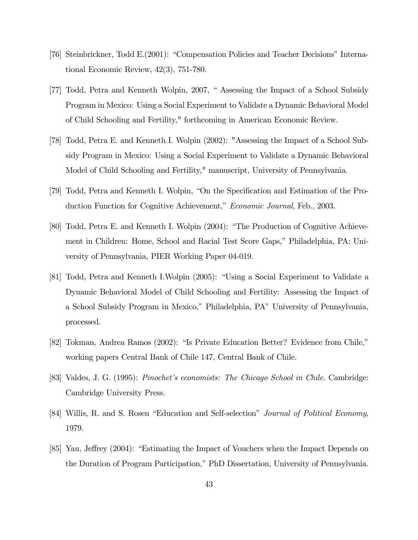- [76] Steinbrickner, Todd E.(2001): "Compensation Policies and Teacher Decisions" International Economic Review, 42(3), 751-780.
- [77] Todd, Petra and Kenneth Wolpin, 2007, " Assessing the Impact of a School Subsidy Program in Mexico: Using a Social Experiment to Validate a Dynamic Behavioral Model of Child Schooling and Fertility," forthcoming in American Economic Review.
- [78] Todd, Petra E. and Kenneth I. Wolpin (2002): "Assessing the Impact of a School Subsidy Program in Mexico: Using a Social Experiment to Validate a Dynamic Behavioral Model of Child Schooling and Fertility," manuscript, University of Pennsylvania.
- [79] Todd, Petra and Kenneth I. Wolpin, "On the Specification and Estimation of the Production Function for Cognitive Achievement," Economic Journal, Feb., 2003.
- [80] Todd, Petra E. and Kenneth I. Wolpin (2004): "The Production of Cognitive Achievement in Children: Home, School and Racial Test Score Gaps," Philadelphia, PA: University of Pennsylvania, PIER Working Paper 04-019.
- [81] Todd, Petra and Kenneth I.Wolpin (2005): "Using a Social Experiment to Validate a Dynamic Behavioral Model of Child Schooling and Fertility: Assessing the Impact of a School Subsidy Program in Mexico," Philadelphia, PA" University of Pennsylvania, processed.
- [82] Tokman, Andrea Ramos (2002): "Is Private Education Better? Evidence from Chile," working papers Central Bank of Chile 147, Central Bank of Chile.
- [83] Valdes, J. G. (1995): Pinochet's economists: The Chicago School in Chile. Cambridge: Cambridge University Press.
- [84] Willis, R. and S. Rosen "Education and Self-selection" *Journal of Political Economy*, 1979.
- [85] Yau, Jeffrey (2004): "Estimating the Impact of Vouchers when the Impact Depends on the Duration of Program Participation," PhD Dissertation, University of Pennsylvania.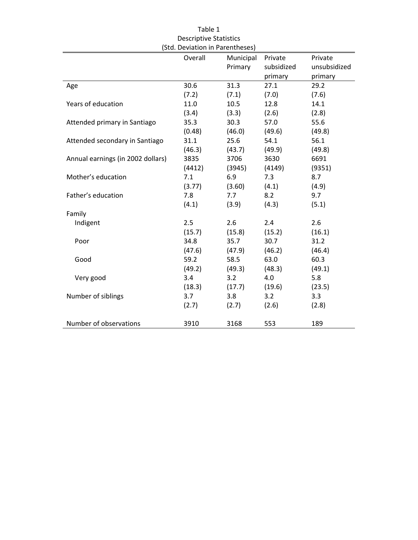|                                   | Overall | Municipal | Private    | Private      |
|-----------------------------------|---------|-----------|------------|--------------|
|                                   |         | Primary   | subsidized | unsubsidized |
|                                   |         |           | primary    | primary      |
| Age                               | 30.6    | 31.3      | 27.1       | 29.2         |
|                                   | (7.2)   | (7.1)     | (7.0)      | (7.6)        |
| Years of education                | 11.0    | 10.5      | 12.8       | 14.1         |
|                                   | (3.4)   | (3.3)     | (2.6)      | (2.8)        |
| Attended primary in Santiago      | 35.3    | 30.3      | 57.0       | 55.6         |
|                                   | (0.48)  | (46.0)    | (49.6)     | (49.8)       |
| Attended secondary in Santiago    | 31.1    | 25.6      | 54.1       | 56.1         |
|                                   | (46.3)  | (43.7)    | (49.9)     | (49.8)       |
| Annual earnings (in 2002 dollars) | 3835    | 3706      | 3630       | 6691         |
|                                   | (4412)  | (3945)    | (4149)     | (9351)       |
| Mother's education                | 7.1     | 6.9       | 7.3        | 8.7          |
|                                   | (3.77)  | (3.60)    | (4.1)      | (4.9)        |
| Father's education                | 7.8     | 7.7       | 8.2        | 9.7          |
|                                   | (4.1)   | (3.9)     | (4.3)      | (5.1)        |
| Family                            |         |           |            |              |
| Indigent                          | 2.5     | 2.6       | 2.4        | 2.6          |
|                                   | (15.7)  | (15.8)    | (15.2)     | (16.1)       |
| Poor                              | 34.8    | 35.7      | 30.7       | 31.2         |
|                                   | (47.6)  | (47.9)    | (46.2)     | (46.4)       |
| Good                              | 59.2    | 58.5      | 63.0       | 60.3         |
|                                   | (49.2)  | (49.3)    | (48.3)     | (49.1)       |
| Very good                         | 3.4     | 3.2       | 4.0        | 5.8          |
|                                   | (18.3)  | (17.7)    | (19.6)     | (23.5)       |
| Number of siblings                | 3.7     | 3.8       | 3.2        | 3.3          |
|                                   | (2.7)   | (2.7)     | (2.6)      | (2.8)        |
| Number of observations            | 3910    | 3168      | 553        | 189          |

Table 1 Descriptive Statistics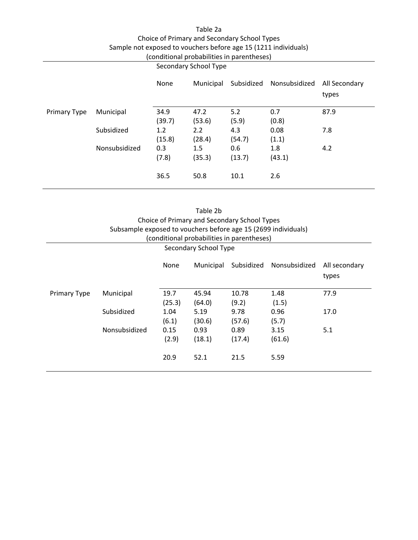| Table 2a                                                        |
|-----------------------------------------------------------------|
| Choice of Primary and Secondary School Types                    |
| Sample not exposed to vouchers before age 15 (1211 individuals) |
| (conditional probabilities in parentheses)                      |
|                                                                 |

|                     |               | Secondary School Type |                |               |               |                        |
|---------------------|---------------|-----------------------|----------------|---------------|---------------|------------------------|
|                     |               | None                  | Municipal      | Subsidized    | Nonsubsidized | All Secondary<br>types |
| <b>Primary Type</b> | Municipal     | 34.9<br>(39.7)        | 47.2<br>(53.6) | 5.2<br>(5.9)  | 0.7<br>(0.8)  | 87.9                   |
|                     | Subsidized    | 1.2<br>(15.8)         | 2.2<br>(28.4)  | 4.3<br>(54.7) | 0.08<br>(1.1) | 7.8                    |
|                     | Nonsubsidized | 0.3<br>(7.8)          | 1.5<br>(35.3)  | 0.6<br>(13.7) | 1.8<br>(43.1) | 4.2                    |
|                     |               | 36.5                  | 50.8           | 10.1          | 2.6           |                        |

| Table 2b<br>Choice of Primary and Secondary School Types<br>Subsample exposed to vouchers before age 15 (2699 individuals)<br>(conditional probabilities in parentheses)<br>Secondary School Type |               |                |                 |                |                |      |  |
|---------------------------------------------------------------------------------------------------------------------------------------------------------------------------------------------------|---------------|----------------|-----------------|----------------|----------------|------|--|
| Nonsubsidized<br>None<br>Municipal<br>Subsidized<br>All secondary<br>types                                                                                                                        |               |                |                 |                |                |      |  |
| <b>Primary Type</b>                                                                                                                                                                               | Municipal     | 19.7<br>(25.3) | 45.94<br>(64.0) | 10.78<br>(9.2) | 1.48<br>(1.5)  | 77.9 |  |
|                                                                                                                                                                                                   | Subsidized    | 1.04<br>(6.1)  | 5.19<br>(30.6)  | 9.78<br>(57.6) | 0.96<br>(5.7)  | 17.0 |  |
|                                                                                                                                                                                                   | Nonsubsidized | 0.15<br>(2.9)  | 0.93<br>(18.1)  | 0.89<br>(17.4) | 3.15<br>(61.6) | 5.1  |  |
|                                                                                                                                                                                                   |               | 20.9           | 52.1            | 21.5           | 5.59           |      |  |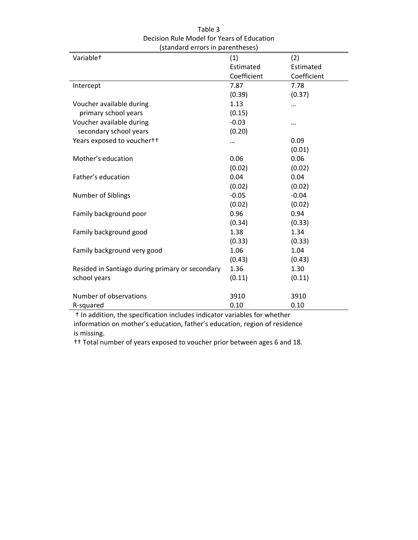| (standard errors in parentheses)                |             |             |  |  |  |  |
|-------------------------------------------------|-------------|-------------|--|--|--|--|
| Variable <sup>+</sup>                           | (1)         | (2)         |  |  |  |  |
|                                                 | Estimated   | Estimated   |  |  |  |  |
|                                                 | Coefficient | Coefficient |  |  |  |  |
| Intercept                                       | 7.87        | 7.78        |  |  |  |  |
|                                                 | (0.39)      | (0.37)      |  |  |  |  |
| Voucher available during                        | 1.13        |             |  |  |  |  |
| primary school years                            | (0.15)      |             |  |  |  |  |
| Voucher available during                        | $-0.03$     |             |  |  |  |  |
| secondary school years                          | (0.20)      |             |  |  |  |  |
| Years exposed to vouchertt                      |             | 0.09        |  |  |  |  |
|                                                 |             | (0.01)      |  |  |  |  |
| Mother's education                              | 0.06        | 0.06        |  |  |  |  |
|                                                 | (0.02)      | (0.02)      |  |  |  |  |
| Father's education                              | 0.04        | 0.04        |  |  |  |  |
|                                                 | (0.02)      | (0.02)      |  |  |  |  |
| Number of Siblings                              | $-0.05$     | $-0.04$     |  |  |  |  |
|                                                 | (0.02)      | (0.02)      |  |  |  |  |
| Family background poor                          | 0.96        | 0.94        |  |  |  |  |
|                                                 | (0.34)      | (0.33)      |  |  |  |  |
| Family background good                          | 1.38        | 1.34        |  |  |  |  |
|                                                 | (0.33)      | (0.33)      |  |  |  |  |
| Family background very good                     | 1.06        | 1.04        |  |  |  |  |
|                                                 | (0.43)      | (0.43)      |  |  |  |  |
| Resided in Santiago during primary or secondary | 1.36        | 1.30        |  |  |  |  |
| school years                                    | (0.11)      | (0.11)      |  |  |  |  |
|                                                 |             |             |  |  |  |  |
| Number of observations                          | 3910        | 3910        |  |  |  |  |
| R-squared                                       | 0.10        | 0.10        |  |  |  |  |

Table 3 Decision Rule Model for Years of Education

 † In addition, the specification includes indicator variables for whether information on mother's education, father's education, region of residence is missing.

†† Total number of years exposed to voucher prior between ages 6 and 18.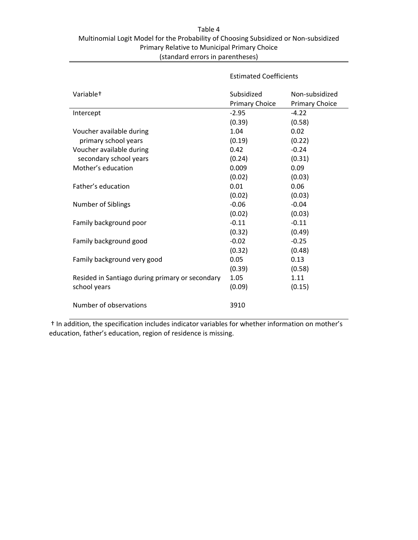### Table 4 Multinomial Logit Model for the Probability of Choosing Subsidized or Non‐subsidized Primary Relative to Municipal Primary Choice (standard errors in parentheses)

|                                                 | <b>Estimated Coefficients</b>       |                                         |  |
|-------------------------------------------------|-------------------------------------|-----------------------------------------|--|
| Variable <sup>+</sup>                           | Subsidized<br><b>Primary Choice</b> | Non-subsidized<br><b>Primary Choice</b> |  |
| Intercept                                       | $-2.95$                             | $-4.22$                                 |  |
|                                                 | (0.39)                              | (0.58)                                  |  |
| Voucher available during                        | 1.04                                | 0.02                                    |  |
| primary school years                            | (0.19)                              | (0.22)                                  |  |
| Voucher available during                        | 0.42                                | $-0.24$                                 |  |
| secondary school years                          | (0.24)                              | (0.31)                                  |  |
| Mother's education                              | 0.009                               | 0.09                                    |  |
|                                                 | (0.02)                              | (0.03)                                  |  |
| Father's education                              | 0.01                                | 0.06                                    |  |
|                                                 | (0.02)                              | (0.03)                                  |  |
| Number of Siblings                              | $-0.06$                             | $-0.04$                                 |  |
|                                                 | (0.02)                              | (0.03)                                  |  |
| Family background poor                          | $-0.11$                             | $-0.11$                                 |  |
|                                                 | (0.32)                              | (0.49)                                  |  |
| Family background good                          | $-0.02$                             | $-0.25$                                 |  |
|                                                 | (0.32)                              | (0.48)                                  |  |
| Family background very good                     | 0.05                                | 0.13                                    |  |
|                                                 | (0.39)                              | (0.58)                                  |  |
| Resided in Santiago during primary or secondary | 1.05                                | 1.11                                    |  |
| school years                                    | (0.09)                              | (0.15)                                  |  |
|                                                 |                                     |                                         |  |
| Number of observations                          | 3910                                |                                         |  |
|                                                 |                                     |                                         |  |

 † In addition, the specification includes indicator variables for whether information on mother's education, father's education, region of residence is missing.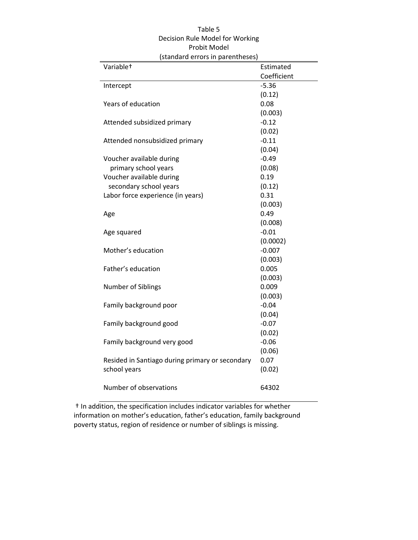| (standard errors in parentheses)                |             |  |  |  |  |  |
|-------------------------------------------------|-------------|--|--|--|--|--|
| Variable <sup>+</sup>                           | Estimated   |  |  |  |  |  |
|                                                 | Coefficient |  |  |  |  |  |
| Intercept                                       | $-5.36$     |  |  |  |  |  |
|                                                 | (0.12)      |  |  |  |  |  |
| Years of education                              | 0.08        |  |  |  |  |  |
|                                                 | (0.003)     |  |  |  |  |  |
| Attended subsidized primary                     | $-0.12$     |  |  |  |  |  |
|                                                 | (0.02)      |  |  |  |  |  |
| Attended nonsubsidized primary                  | $-0.11$     |  |  |  |  |  |
|                                                 | (0.04)      |  |  |  |  |  |
| Voucher available during                        | $-0.49$     |  |  |  |  |  |
| primary school years                            | (0.08)      |  |  |  |  |  |
| Voucher available during                        | 0.19        |  |  |  |  |  |
| secondary school years                          | (0.12)      |  |  |  |  |  |
| Labor force experience (in years)               | 0.31        |  |  |  |  |  |
|                                                 | (0.003)     |  |  |  |  |  |
| Age                                             | 0.49        |  |  |  |  |  |
|                                                 | (0.008)     |  |  |  |  |  |
| Age squared                                     | $-0.01$     |  |  |  |  |  |
|                                                 | (0.0002)    |  |  |  |  |  |
| Mother's education                              | $-0.007$    |  |  |  |  |  |
|                                                 | (0.003)     |  |  |  |  |  |
| Father's education                              | 0.005       |  |  |  |  |  |
|                                                 | (0.003)     |  |  |  |  |  |
| <b>Number of Siblings</b>                       | 0.009       |  |  |  |  |  |
|                                                 | (0.003)     |  |  |  |  |  |
| Family background poor                          | $-0.04$     |  |  |  |  |  |
|                                                 | (0.04)      |  |  |  |  |  |
| Family background good                          | $-0.07$     |  |  |  |  |  |
|                                                 | (0.02)      |  |  |  |  |  |
| Family background very good                     | $-0.06$     |  |  |  |  |  |
|                                                 | (0.06)      |  |  |  |  |  |
| Resided in Santiago during primary or secondary | 0.07        |  |  |  |  |  |
| school years                                    | (0.02)      |  |  |  |  |  |
|                                                 |             |  |  |  |  |  |
| Number of observations                          | 64302       |  |  |  |  |  |
|                                                 |             |  |  |  |  |  |

### Table 5 Decision Rule Model for Working Probit Model

 † In addition, the specification includes indicator variables for whether information on mother's education, father's education, family background poverty status, region of residence or number of siblings is missing.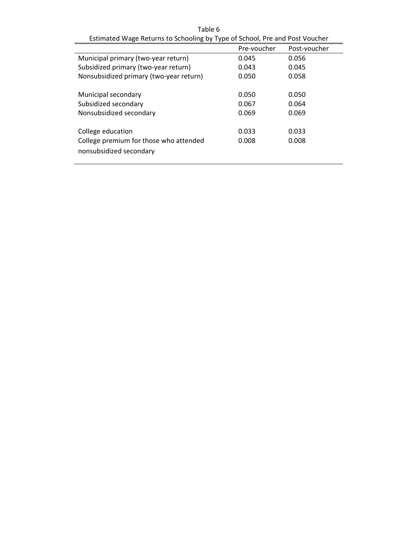| Table 6                                                                     |       |       |  |  |  |  |  |  |
|-----------------------------------------------------------------------------|-------|-------|--|--|--|--|--|--|
| Estimated Wage Returns to Schooling by Type of School, Pre and Post Voucher |       |       |  |  |  |  |  |  |
| Pre-voucher<br>Post-voucher                                                 |       |       |  |  |  |  |  |  |
| Municipal primary (two-year return)                                         | 0.045 | 0.056 |  |  |  |  |  |  |
| Subsidized primary (two-year return)                                        | 0.043 | 0.045 |  |  |  |  |  |  |
| Nonsubsidized primary (two-year return)                                     | 0.050 | 0.058 |  |  |  |  |  |  |
| Municipal secondary                                                         | 0.050 | 0.050 |  |  |  |  |  |  |
| Subsidized secondary                                                        | 0.067 | 0.064 |  |  |  |  |  |  |
| Nonsubsidized secondary                                                     | 0.069 | 0.069 |  |  |  |  |  |  |
| College education                                                           | 0.033 | 0.033 |  |  |  |  |  |  |
| College premium for those who attended<br>nonsubsidized secondary           | 0.008 | 0.008 |  |  |  |  |  |  |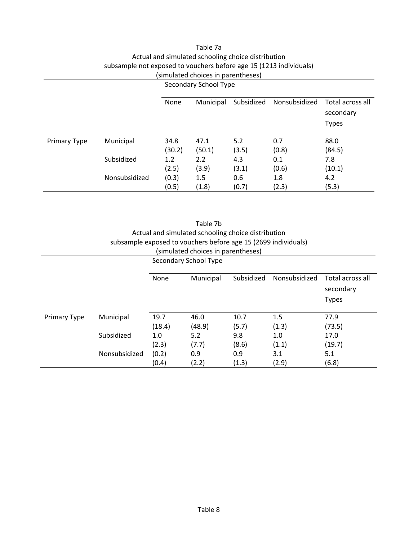### Table 7a Actual and simulated schooling choice distribution subsample not exposed to vouchers before age 15 (1213 individuals) (simulated choices in parentheses)

|                     |               | Secondary School Type |           |            |               |                               |  |
|---------------------|---------------|-----------------------|-----------|------------|---------------|-------------------------------|--|
|                     |               | None                  | Municipal | Subsidized | Nonsubsidized | Total across all<br>secondary |  |
|                     |               |                       |           |            |               | <b>Types</b>                  |  |
| <b>Primary Type</b> | Municipal     | 34.8                  | 47.1      | 5.2        | 0.7           | 88.0                          |  |
|                     |               | (30.2)                | (50.1)    | (3.5)      | (0.8)         | (84.5)                        |  |
|                     | Subsidized    | 1.2                   | 2.2       | 4.3        | 0.1           | 7.8                           |  |
|                     |               | (2.5)                 | (3.9)     | (3.1)      | (0.6)         | (10.1)                        |  |
|                     | Nonsubsidized | (0.3)                 | 1.5       | 0.6        | 1.8           | 4.2                           |  |
|                     |               | (0.5)                 | (1.8)     | (0.7)      | (2.3)         | (5.3)                         |  |

|                     | Table 7b      |        |                                                                |            |               |                               |  |  |
|---------------------|---------------|--------|----------------------------------------------------------------|------------|---------------|-------------------------------|--|--|
|                     |               |        | Actual and simulated schooling choice distribution             |            |               |                               |  |  |
|                     |               |        | subsample exposed to vouchers before age 15 (2699 individuals) |            |               |                               |  |  |
|                     |               |        | (simulated choices in parentheses)                             |            |               |                               |  |  |
|                     |               |        | Secondary School Type                                          |            |               |                               |  |  |
|                     |               |        |                                                                |            |               |                               |  |  |
|                     |               | None   | Municipal                                                      | Subsidized | Nonsubsidized | Total across all<br>secondary |  |  |
|                     |               |        |                                                                |            |               | <b>Types</b>                  |  |  |
| <b>Primary Type</b> | Municipal     | 19.7   | 46.0                                                           | 10.7       | 1.5           | 77.9                          |  |  |
|                     |               | (18.4) | (48.9)                                                         | (5.7)      | (1.3)         | (73.5)                        |  |  |
|                     | Subsidized    | 1.0    | 5.2                                                            | 9.8        | 1.0           | 17.0                          |  |  |
|                     |               | (2.3)  | (7.7)                                                          | (8.6)      | (1.1)         | (19.7)                        |  |  |
|                     | Nonsubsidized | (0.2)  | 0.9                                                            | 0.9        | 3.1           | 5.1                           |  |  |
|                     |               | (0.4)  | (2.2)                                                          | (1.3)      | (2.9)         | (6.8)                         |  |  |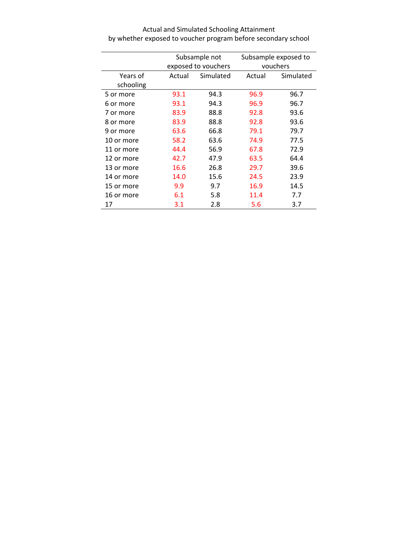|            |        | Subsample not       | Subsample exposed to |           |  |
|------------|--------|---------------------|----------------------|-----------|--|
|            |        | exposed to vouchers | vouchers             |           |  |
| Years of   | Actual | Simulated           | Actual               | Simulated |  |
| schooling  |        |                     |                      |           |  |
| 5 or more  | 93.1   | 94.3                | 96.9                 | 96.7      |  |
| 6 or more  | 93.1   | 94.3                | 96.9                 | 96.7      |  |
| 7 or more  | 83.9   | 88.8                | 92.8                 | 93.6      |  |
| 8 or more  | 83.9   | 88.8                | 92.8                 | 93.6      |  |
| 9 or more  | 63.6   | 66.8                | 79.1                 | 79.7      |  |
| 10 or more | 58.2   | 63.6                | 74.9                 | 77.5      |  |
| 11 or more | 44.4   | 56.9                | 67.8                 | 72.9      |  |
| 12 or more | 42.7   | 47.9                | 63.5                 | 64.4      |  |
| 13 or more | 16.6   | 26.8                | 29.7                 | 39.6      |  |
| 14 or more | 14.0   | 15.6                | 24.5                 | 23.9      |  |
| 15 or more | 9.9    | 9.7                 | 16.9                 | 14.5      |  |
| 16 or more | 6.1    | 5.8                 | 11.4                 | 7.7       |  |
| 17         | 3.1    | 2.8                 | 5.6                  | 3.7       |  |

Actual and Simulated Schooling Attainment by whether exposed to voucher program before secondary school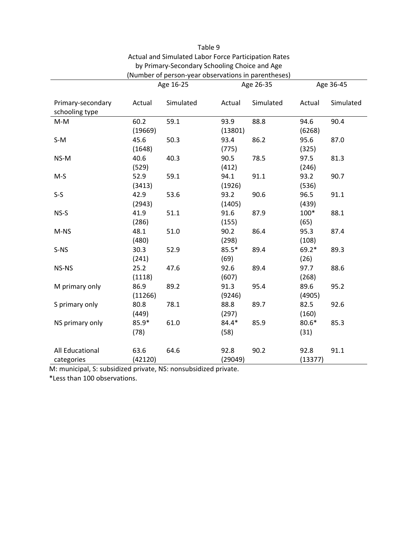|                                     | Age 16-25 |           |         | Age 26-35 | Age 36-45 |           |
|-------------------------------------|-----------|-----------|---------|-----------|-----------|-----------|
| Primary-secondary<br>schooling type | Actual    | Simulated | Actual  | Simulated | Actual    | Simulated |
| $M-M$                               | 60.2      | 59.1      | 93.9    | 88.8      | 94.6      | 90.4      |
|                                     | (19669)   |           | (13801) |           | (6268)    |           |
| $S-M$                               | 45.6      | 50.3      | 93.4    | 86.2      | 95.6      | 87.0      |
|                                     | (1648)    |           | (775)   |           | (325)     |           |
| NS-M                                | 40.6      | 40.3      | 90.5    | 78.5      | 97.5      | 81.3      |
|                                     | (529)     |           | (412)   |           | (246)     |           |
| $M-S$                               | 52.9      | 59.1      | 94.1    | 91.1      | 93.2      | 90.7      |
|                                     | (3413)    |           | (1926)  |           | (536)     |           |
| $S-S$                               | 42.9      | 53.6      | 93.2    | 90.6      | 96.5      | 91.1      |
|                                     | (2943)    |           | (1405)  |           | (439)     |           |
| NS-S                                | 41.9      | 51.1      | 91.6    | 87.9      | 100*      | 88.1      |
|                                     | (286)     |           | (155)   |           | (65)      |           |
| M-NS                                | 48.1      | 51.0      | 90.2    | 86.4      | 95.3      | 87.4      |
|                                     | (480)     |           | (298)   |           | (108)     |           |
| S-NS                                | 30.3      | 52.9      | $85.5*$ | 89.4      | $69.2*$   | 89.3      |
|                                     | (241)     |           | (69)    |           | (26)      |           |
| NS-NS                               | 25.2      | 47.6      | 92.6    | 89.4      | 97.7      | 88.6      |
|                                     | (1118)    |           | (607)   |           | (268)     |           |
| M primary only                      | 86.9      | 89.2      | 91.3    | 95.4      | 89.6      | 95.2      |
|                                     | (11266)   |           | (9246)  |           | (4905)    |           |
| S primary only                      | 80.8      | 78.1      | 88.8    | 89.7      | 82.5      | 92.6      |
|                                     | (449)     |           | (297)   |           | (160)     |           |
| NS primary only                     | $85.9*$   | 61.0      | 84.4*   | 85.9      | $80.6*$   | 85.3      |
|                                     | (78)      |           | (58)    |           | (31)      |           |
| All Educational                     | 63.6      | 64.6      | 92.8    | 90.2      | 92.8      | 91.1      |
| categories                          | (42120)   |           | (29049) |           | (13377)   |           |

Table 9 Actual and Simulated Labor Force Participation Rates by Primary‐Secondary Schooling Choice and Age (Number of person‐year observations in parentheses)

M: municipal, S: subsidized private, NS: nonsubsidized private.

\*Less than 100 observations.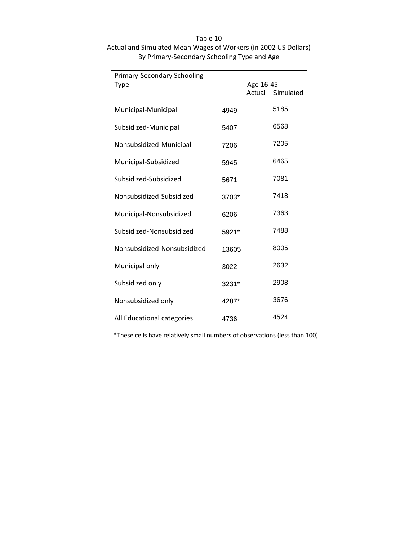| Primary-Secondary Schooling |       |           |                  |
|-----------------------------|-------|-----------|------------------|
| <b>Type</b>                 |       | Age 16-45 |                  |
|                             |       |           | Actual Simulated |
| Municipal-Municipal         | 4949  |           | 5185             |
| Subsidized-Municipal        | 5407  |           | 6568             |
| Nonsubsidized-Municipal     | 7206  |           | 7205             |
| Municipal-Subsidized        | 5945  |           | 6465             |
| Subsidized-Subsidized       | 5671  |           | 7081             |
| Nonsubsidized-Subsidized    | 3703* |           | 7418             |
| Municipal-Nonsubsidized     | 6206  |           | 7363             |
| Subsidized-Nonsubsidized    | 5921* |           | 7488             |
| Nonsubsidized-Nonsubsidized | 13605 |           | 8005             |
| Municipal only              | 3022  |           | 2632             |
| Subsidized only             | 3231* |           | 2908             |
| Nonsubsidized only          | 4287* |           | 3676             |
| All Educational categories  | 4736  |           | 4524             |

### Table 10 Actual and Simulated Mean Wages of Workers (in 2002 US Dollars) By Primary‐Secondary Schooling Type and Age

\*These cells have relatively small numbers of observations (less than 100).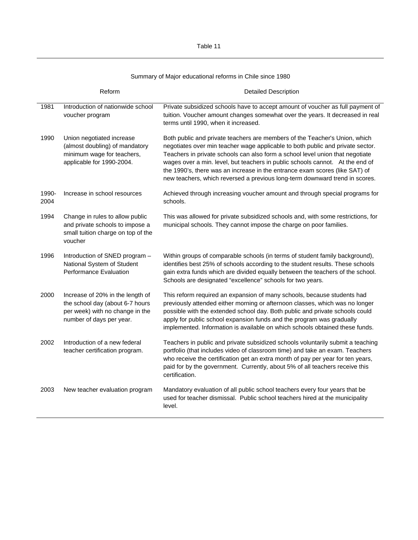Summary of Major educational reforms in Chile since 1980

|               | Reform                                                                                                                             | <b>Detailed Description</b>                                                                                                                                                                                                                                                                                                                                                                                                                                                                  |
|---------------|------------------------------------------------------------------------------------------------------------------------------------|----------------------------------------------------------------------------------------------------------------------------------------------------------------------------------------------------------------------------------------------------------------------------------------------------------------------------------------------------------------------------------------------------------------------------------------------------------------------------------------------|
| 1981          | Introduction of nationwide school<br>voucher program                                                                               | Private subsidized schools have to accept amount of voucher as full payment of<br>tuition. Voucher amount changes somewhat over the years. It decreased in real<br>terms until 1990, when it increased.                                                                                                                                                                                                                                                                                      |
| 1990          | Union negotiated increase<br>(almost doubling) of mandatory<br>minimum wage for teachers,<br>applicable for 1990-2004.             | Both public and private teachers are members of the Teacher's Union, which<br>negotiates over min teacher wage applicable to both public and private sector.<br>Teachers in private schools can also form a school level union that negotiate<br>wages over a min. level, but teachers in public schools cannot. At the end of<br>the 1990's, there was an increase in the entrance exam scores (like SAT) of<br>new teachers, which reversed a previous long-term downward trend in scores. |
| 1990-<br>2004 | Increase in school resources                                                                                                       | Achieved through increasing voucher amount and through special programs for<br>schools.                                                                                                                                                                                                                                                                                                                                                                                                      |
| 1994          | Change in rules to allow public<br>and private schools to impose a<br>small tuition charge on top of the<br>voucher                | This was allowed for private subsidized schools and, with some restrictions, for<br>municipal schools. They cannot impose the charge on poor families.                                                                                                                                                                                                                                                                                                                                       |
| 1996          | Introduction of SNED program -<br>National System of Student<br><b>Performance Evaluation</b>                                      | Within groups of comparable schools (in terms of student family background),<br>identifies best 25% of schools according to the student results. These schools<br>gain extra funds which are divided equally between the teachers of the school.<br>Schools are designated "excellence" schools for two years.                                                                                                                                                                               |
| 2000          | Increase of 20% in the length of<br>the school day (about 6-7 hours<br>per week) with no change in the<br>number of days per year. | This reform required an expansion of many schools, because students had<br>previously attended either morning or afternoon classes, which was no longer<br>possible with the extended school day. Both public and private schools could<br>apply for public school expansion funds and the program was gradually<br>implemented. Information is available on which schools obtained these funds.                                                                                             |
| 2002          | Introduction of a new federal<br>teacher certification program.                                                                    | Teachers in public and private subsidized schools voluntarily submit a teaching<br>portfolio (that includes video of classroom time) and take an exam. Teachers<br>who receive the certification get an extra month of pay per year for ten years,<br>paid for by the government. Currently, about 5% of all teachers receive this<br>certification.                                                                                                                                         |
| 2003          | New teacher evaluation program                                                                                                     | Mandatory evaluation of all public school teachers every four years that be<br>used for teacher dismissal. Public school teachers hired at the municipality<br>level.                                                                                                                                                                                                                                                                                                                        |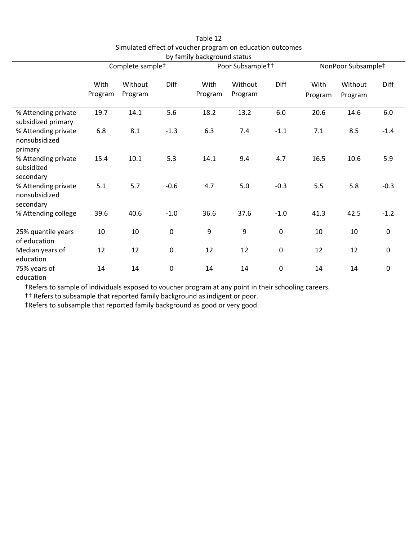|                                                   |                 |                              |        | ~, . ~ , ~ ~ ~ <del>.</del> . |                              |             |                 |                    |             |  |
|---------------------------------------------------|-----------------|------------------------------|--------|-------------------------------|------------------------------|-------------|-----------------|--------------------|-------------|--|
|                                                   |                 | Complete sample <sup>+</sup> |        |                               | Poor Subsample <sup>++</sup> |             |                 | NonPoor Subsample‡ |             |  |
|                                                   | With<br>Program | Without<br>Program           | Diff   | With<br>Program               | Without<br>Program           | Diff        | With<br>Program | Without<br>Program | Diff        |  |
| % Attending private<br>subsidized primary         | 19.7            | 14.1                         | 5.6    | 18.2                          | 13.2                         | 6.0         | 20.6            | 14.6               | 6.0         |  |
| % Attending private<br>nonsubsidized<br>primary   | 6.8             | 8.1                          | $-1.3$ | 6.3                           | 7.4                          | $-1.1$      | 7.1             | 8.5                | $-1.4$      |  |
| % Attending private<br>subsidized<br>secondary    | 15.4            | 10.1                         | 5.3    | 14.1                          | 9.4                          | 4.7         | 16.5            | 10.6               | 5.9         |  |
| % Attending private<br>nonsubsidized<br>secondary | 5.1             | 5.7                          | $-0.6$ | 4.7                           | 5.0                          | $-0.3$      | 5.5             | 5.8                | $-0.3$      |  |
| % Attending college                               | 39.6            | 40.6                         | $-1.0$ | 36.6                          | 37.6                         | $-1.0$      | 41.3            | 42.5               | $-1.2$      |  |
| 25% quantile years<br>of education                | 10              | 10                           | 0      | 9                             | 9                            | $\pmb{0}$   | 10              | 10                 | $\pmb{0}$   |  |
| Median years of<br>education                      | 12              | 12                           | 0      | 12                            | 12                           | $\mathbf 0$ | 12              | 12                 | $\mathbf 0$ |  |
| 75% years of<br>education                         | 14              | 14                           | 0      | 14                            | 14                           | $\pmb{0}$   | 14              | 14                 | $\mathbf 0$ |  |

Table 12 Simulated effect of voucher program on education outcomes by family background status

†Refers to sample of individuals exposed to voucher program at any point in their schooling careers.

†† Refers to subsample that reported family background as indigent or poor.

‡Refers to subsample that reported family background as good or very good.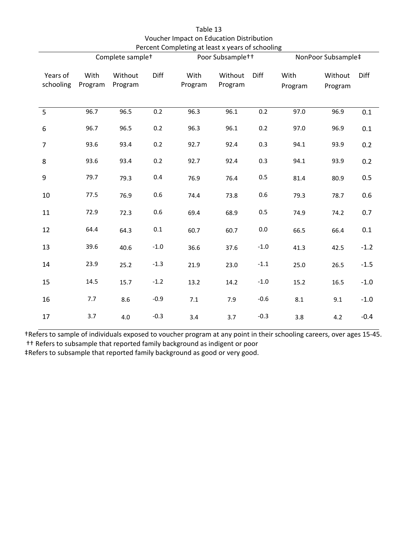|                       |                 | Complete sample <sup>+</sup> |        | Percent Completing at least x years of schooling | Poor Subsample <sup>++</sup> | NonPoor Subsample‡ |                 |                    |        |
|-----------------------|-----------------|------------------------------|--------|--------------------------------------------------|------------------------------|--------------------|-----------------|--------------------|--------|
| Years of<br>schooling | With<br>Program | Without<br>Program           | Diff   | With<br>Program                                  | Without<br>Program           | Diff               | With<br>Program | Without<br>Program | Diff   |
| 5                     | 96.7            | 96.5                         | 0.2    | 96.3                                             | 96.1                         | 0.2                | 97.0            | 96.9               | 0.1    |
| $\boldsymbol{6}$      | 96.7            | 96.5                         | 0.2    | 96.3                                             | 96.1                         | 0.2                | 97.0            | 96.9               | 0.1    |
| $\overline{7}$        | 93.6            | 93.4                         | 0.2    | 92.7                                             | 92.4                         | 0.3                | 94.1            | 93.9               | 0.2    |
| 8                     | 93.6            | 93.4                         | 0.2    | 92.7                                             | 92.4                         | 0.3                | 94.1            | 93.9               | 0.2    |
| 9                     | 79.7            | 79.3                         | 0.4    | 76.9                                             | 76.4                         | 0.5                | 81.4            | 80.9               | 0.5    |
| 10                    | 77.5            | 76.9                         | 0.6    | 74.4                                             | 73.8                         | 0.6                | 79.3            | 78.7               | 0.6    |
| 11                    | 72.9            | 72.3                         | 0.6    | 69.4                                             | 68.9                         | $0.5\,$            | 74.9            | 74.2               | 0.7    |
| 12                    | 64.4            | 64.3                         | 0.1    | 60.7                                             | 60.7                         | $0.0\,$            | 66.5            | 66.4               | 0.1    |
| 13                    | 39.6            | 40.6                         | $-1.0$ | 36.6                                             | 37.6                         | $-1.0$             | 41.3            | 42.5               | $-1.2$ |
| 14                    | 23.9            | 25.2                         | $-1.3$ | 21.9                                             | 23.0                         | $-1.1$             | 25.0            | 26.5               | $-1.5$ |
| 15                    | 14.5            | 15.7                         | $-1.2$ | 13.2                                             | 14.2                         | $-1.0$             | 15.2            | 16.5               | $-1.0$ |
| 16                    | 7.7             | 8.6                          | $-0.9$ | 7.1                                              | 7.9                          | $-0.6$             | 8.1             | 9.1                | $-1.0$ |
| 17                    | 3.7             | 4.0                          | $-0.3$ | 3.4                                              | 3.7                          | $-0.3$             | 3.8             | 4.2                | $-0.4$ |

Table 13 Voucher Impact on Education Distribution Percent Completing at least x years of schooling

†Refers to sample of individuals exposed to voucher program at any point in their schooling careers, over ages 15‐45. †† Refers to subsample that reported family background as indigent or poor

‡Refers to subsample that reported family background as good or very good.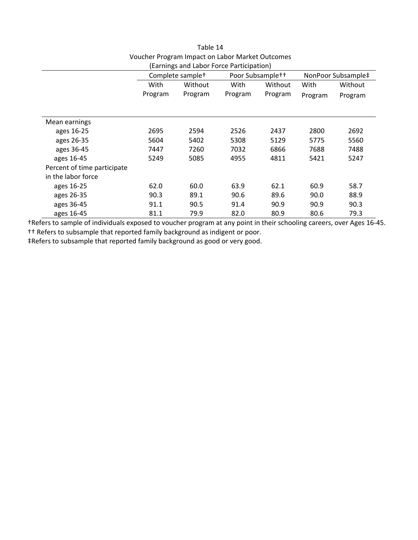|                             | (Earnings and Labor Force Participation) |                              |         |                              |                    |         |
|-----------------------------|------------------------------------------|------------------------------|---------|------------------------------|--------------------|---------|
|                             |                                          | Complete sample <sup>+</sup> |         | Poor Subsample <sup>++</sup> | NonPoor Subsample‡ |         |
|                             | With                                     | Without                      |         | With<br>Without              |                    | Without |
|                             | Program                                  | Program                      | Program | Program                      | Program            | Program |
|                             |                                          |                              |         |                              |                    |         |
| Mean earnings               |                                          |                              |         |                              |                    |         |
| ages 16-25                  | 2695                                     | 2594                         | 2526    | 2437                         | 2800               | 2692    |
| ages 26-35                  | 5604                                     | 5402                         | 5308    | 5129                         | 5775               | 5560    |
| ages 36-45                  | 7447                                     | 7260                         | 7032    | 6866                         | 7688               | 7488    |
| ages 16-45                  | 5249                                     | 5085                         | 4955    | 4811                         | 5421               | 5247    |
| Percent of time participate |                                          |                              |         |                              |                    |         |
| in the labor force          |                                          |                              |         |                              |                    |         |
| ages 16-25                  | 62.0                                     | 60.0                         | 63.9    | 62.1                         | 60.9               | 58.7    |
| ages 26-35                  | 90.3                                     | 89.1                         | 90.6    | 89.6                         | 90.0               | 88.9    |
| ages 36-45                  | 91.1                                     | 90.5                         | 91.4    | 90.9                         | 90.9               | 90.3    |
| ages 16-45                  | 81.1                                     | 79.9                         | 82.0    | 80.9                         | 80.6               | 79.3    |

## Table 14 Voucher Program Impact on Labor Market Outcomes

†Refers to sample of individuals exposed to voucher program at any point in their schooling careers, over Ages 16‐45. †† Refers to subsample that reported family background as indigent or poor.

‡Refers to subsample that reported family background as good or very good.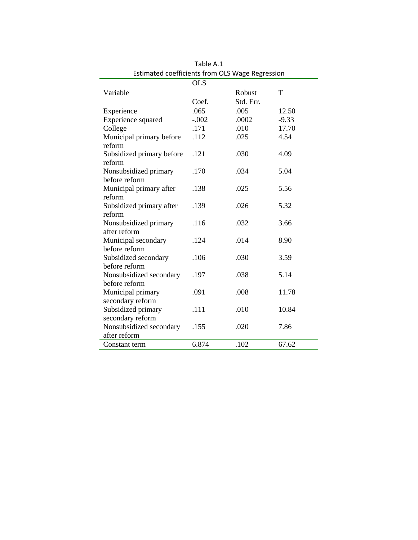|                                                             | <b>OLS</b> |           |         |
|-------------------------------------------------------------|------------|-----------|---------|
| Variable                                                    |            | Robust    | T       |
|                                                             | Coef.      | Std. Err. |         |
| Experience                                                  | .065       | .005      | 12.50   |
| Experience squared                                          | $-.002$    | .0002     | $-9.33$ |
| College                                                     | .171       | .010      | 17.70   |
| Municipal primary before<br>reform                          | .112       | .025      | 4.54    |
| Subsidized primary before<br>reform                         | .121       | .030      | 4.09    |
| Nonsubsidized primary<br>before reform                      | .170       | .034      | 5.04    |
| Municipal primary after<br>reform                           | .138       | .025      | 5.56    |
| Subsidized primary after<br>reform                          | .139       | .026      | 5.32    |
| Nonsubsidized primary<br>after reform                       | .116       | .032      | 3.66    |
| Municipal secondary<br>before reform                        | .124       | .014      | 8.90    |
| Subsidized secondary<br>before reform                       | .106       | .030      | 3.59    |
| Nonsubsidized secondary<br>before reform                    | .197       | .038      | 5.14    |
| Municipal primary<br>secondary reform                       | .091       | .008      | 11.78   |
| Subsidized primary                                          | .111       | .010      | 10.84   |
| secondary reform<br>Nonsubsidized secondary<br>after reform | .155       | .020      | 7.86    |
| Constant term                                               | 6.874      | .102      | 67.62   |

Table A.1 Estimated coefficients from OLS Wage Regression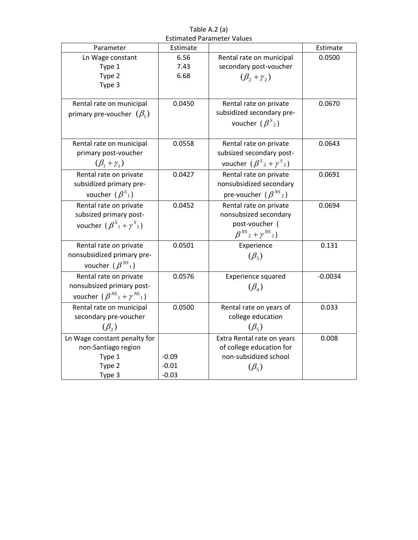Table A.2 (a) Estimated Parameter Values

| Parameter                                                         | Estimate |                                                          | Estimate  |
|-------------------------------------------------------------------|----------|----------------------------------------------------------|-----------|
| Ln Wage constant                                                  | 6.56     | Rental rate on municipal                                 | 0.0500    |
| Type 1                                                            | 7.43     | secondary post-voucher                                   |           |
| Type 2                                                            | 6.68     | $(\beta_2+\gamma_2)$                                     |           |
| Type 3                                                            |          |                                                          |           |
|                                                                   |          |                                                          |           |
| Rental rate on municipal                                          | 0.0450   | Rental rate on private                                   | 0.0670    |
| primary pre-voucher $(\beta_1)$                                   |          | subsidized secondary pre-                                |           |
|                                                                   |          | voucher $(\beta^{s_2})$                                  |           |
|                                                                   |          |                                                          |           |
| Rental rate on municipal                                          | 0.0558   | Rental rate on private                                   | 0.0643    |
| primary post-voucher                                              |          | subsized secondary post-                                 |           |
| $(\beta_1+\gamma_1)$                                              |          | voucher $(\beta^{S_2} + \gamma^{S_2})$                   |           |
| Rental rate on private                                            | 0.0427   | Rental rate on private                                   | 0.0691    |
| subsidized primary pre-                                           |          | nonsubsidized secondary                                  |           |
| voucher $(\beta^{S_1})$                                           |          | pre-voucher $(\beta^{NS}_{2})$                           |           |
|                                                                   |          |                                                          |           |
| Rental rate on private                                            | 0.0452   | Rental rate on private                                   | 0.0694    |
| subsized primary post-                                            |          | nonsubsized secondary                                    |           |
| voucher $(\beta^{S_1} + \gamma^{S_1})$                            |          | post-voucher (                                           |           |
|                                                                   |          | $\beta^{NS}$ <sub>2</sub> + $\gamma^{NS}$ <sub>2</sub> ) |           |
| Rental rate on private                                            | 0.0501   | Experience                                               | 0.131     |
| nonsubsidized primary pre-                                        |          | $(\beta_3)$                                              |           |
| voucher $(\beta^{NS})$                                            |          |                                                          |           |
| Rental rate on private                                            | 0.0576   | Experience squared                                       | $-0.0034$ |
| nonsubsized primary post-                                         |          | $(\beta_4)$                                              |           |
| voucher $(\beta^{NS}$ <sub>1</sub> + $\gamma^{NS}$ <sub>1</sub> ) |          |                                                          |           |
| Rental rate on municipal                                          | 0.0500   | Rental rate on years of                                  | 0.033     |
| secondary pre-voucher                                             |          | college education                                        |           |
|                                                                   |          | $(\beta_{5})$                                            |           |
| $(\beta_{2})$                                                     |          |                                                          |           |
| Ln Wage constant penalty for                                      |          | Extra Rental rate on years                               | 0.008     |
| non-Santiago region                                               |          | of college education for                                 |           |
| Type 1                                                            | $-0.09$  | non-subsidized school                                    |           |
| Type 2                                                            | $-0.01$  | $(\beta_{5})$                                            |           |
| Type 3                                                            | $-0.03$  |                                                          |           |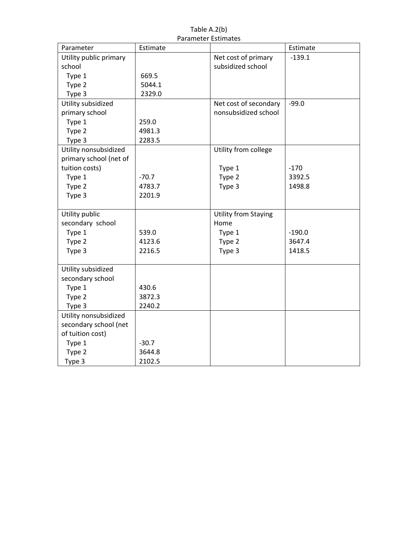|                        | Parameter Estimates |                             |          |
|------------------------|---------------------|-----------------------------|----------|
| Parameter              | Estimate            |                             | Estimate |
| Utility public primary |                     | Net cost of primary         | $-139.1$ |
| school                 |                     | subsidized school           |          |
| Type 1                 | 669.5               |                             |          |
| Type 2                 | 5044.1              |                             |          |
| Type 3                 | 2329.0              |                             |          |
| Utility subsidized     |                     | Net cost of secondary       | $-99.0$  |
| primary school         |                     | nonsubsidized school        |          |
| Type 1                 | 259.0               |                             |          |
| Type 2                 | 4981.3              |                             |          |
| Type 3                 | 2283.5              |                             |          |
| Utility nonsubsidized  |                     | Utility from college        |          |
| primary school (net of |                     |                             |          |
| tuition costs)         |                     | Type 1                      | $-170$   |
| Type 1                 | $-70.7$             | Type 2                      | 3392.5   |
| Type 2                 | 4783.7              | Type 3                      | 1498.8   |
| Type 3                 | 2201.9              |                             |          |
|                        |                     |                             |          |
| Utility public         |                     | <b>Utility from Staying</b> |          |
| secondary school       |                     | Home                        |          |
| Type 1                 | 539.0               | Type 1                      | $-190.0$ |
| Type 2                 | 4123.6              | Type 2                      | 3647.4   |
| Type 3                 | 2216.5              | Type 3                      | 1418.5   |
|                        |                     |                             |          |
| Utility subsidized     |                     |                             |          |
| secondary school       |                     |                             |          |
| Type 1                 | 430.6               |                             |          |
| Type 2                 | 3872.3              |                             |          |
| Type 3                 | 2240.2              |                             |          |
| Utility nonsubsidized  |                     |                             |          |
| secondary school (net  |                     |                             |          |
| of tuition cost)       |                     |                             |          |
| Type 1                 | $-30.7$             |                             |          |
| Type 2                 | 3644.8              |                             |          |
| Type 3                 | 2102.5              |                             |          |

Table A.2(b) Parameter Estimates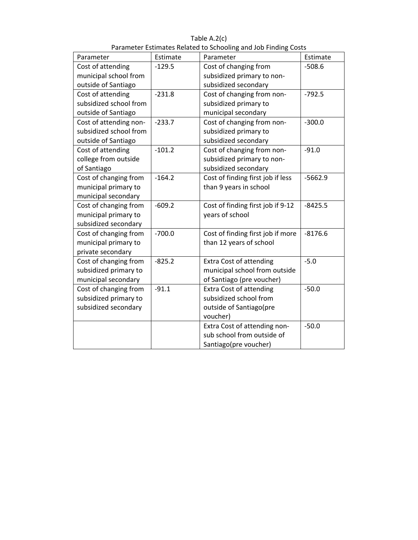|                        |          | arameter Estimates neiated to senoomig and sob i maing costs |           |
|------------------------|----------|--------------------------------------------------------------|-----------|
| Parameter              | Estimate | Parameter                                                    | Estimate  |
| Cost of attending      | $-129.5$ | Cost of changing from                                        | $-508.6$  |
| municipal school from  |          | subsidized primary to non-                                   |           |
| outside of Santiago    |          | subsidized secondary                                         |           |
| Cost of attending      | $-231.8$ | Cost of changing from non-                                   | $-792.5$  |
| subsidized school from |          | subsidized primary to                                        |           |
| outside of Santiago    |          | municipal secondary                                          |           |
| Cost of attending non- | $-233.7$ | Cost of changing from non-                                   | $-300.0$  |
| subsidized school from |          | subsidized primary to                                        |           |
| outside of Santiago    |          | subsidized secondary                                         |           |
| Cost of attending      | $-101.2$ | Cost of changing from non-                                   | $-91.0$   |
| college from outside   |          | subsidized primary to non-                                   |           |
| of Santiago            |          | subsidized secondary                                         |           |
| Cost of changing from  | $-164.2$ | Cost of finding first job if less                            | $-5662.9$ |
| municipal primary to   |          | than 9 years in school                                       |           |
| municipal secondary    |          |                                                              |           |
| Cost of changing from  | $-609.2$ | Cost of finding first job if 9-12                            | $-8425.5$ |
| municipal primary to   |          | years of school                                              |           |
| subsidized secondary   |          |                                                              |           |
| Cost of changing from  | $-700.0$ | Cost of finding first job if more                            | $-8176.6$ |
| municipal primary to   |          | than 12 years of school                                      |           |
| private secondary      |          |                                                              |           |
| Cost of changing from  | $-825.2$ | <b>Extra Cost of attending</b>                               | $-5.0$    |
| subsidized primary to  |          | municipal school from outside                                |           |
| municipal secondary    |          | of Santiago (pre voucher)                                    |           |
| Cost of changing from  | $-91.1$  | <b>Extra Cost of attending</b>                               | $-50.0$   |
| subsidized primary to  |          | subsidized school from                                       |           |
| subsidized secondary   |          | outside of Santiago(pre                                      |           |
|                        |          | voucher)                                                     |           |
|                        |          | Extra Cost of attending non-                                 | $-50.0$   |
|                        |          | sub school from outside of                                   |           |
|                        |          | Santiago(pre voucher)                                        |           |

Table A.2(c) Parameter Estimates Related to Schooling and Job Finding Costs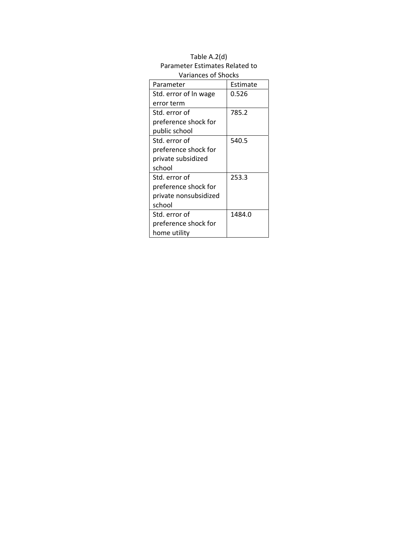| <b>Variances of Shocks</b> |          |  |  |  |
|----------------------------|----------|--|--|--|
| Parameter                  | Estimate |  |  |  |
| Std. error of In wage      | 0.526    |  |  |  |
| error term                 |          |  |  |  |
| Std. error of              | 785.2    |  |  |  |
| preference shock for       |          |  |  |  |
| public school              |          |  |  |  |
| Std. error of              | 540.5    |  |  |  |
| preference shock for       |          |  |  |  |
| private subsidized         |          |  |  |  |
| school                     |          |  |  |  |
| Std. error of              | 253.3    |  |  |  |
| preference shock for       |          |  |  |  |
| private nonsubsidized      |          |  |  |  |
| school                     |          |  |  |  |
| Std. error of              | 1484.0   |  |  |  |
| preference shock for       |          |  |  |  |
| home utility               |          |  |  |  |

# Table A.2(d) Parameter Estimates Related to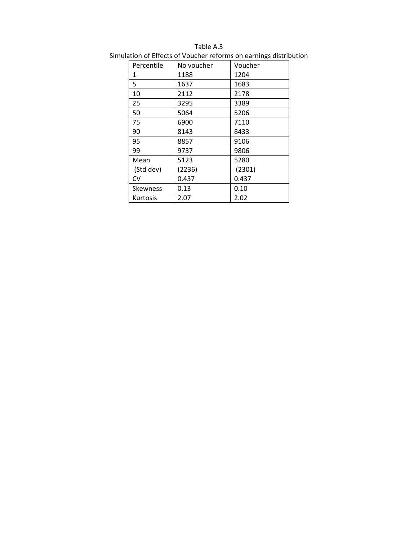| Percentile      | No voucher | Voucher |
|-----------------|------------|---------|
| 1               | 1188       | 1204    |
| 5               | 1637       | 1683    |
| 10              | 2112       | 2178    |
| 25              | 3295       | 3389    |
| 50              | 5064       | 5206    |
| 75              | 6900       | 7110    |
| 90              | 8143       | 8433    |
| 95              | 8857       | 9106    |
| 99              | 9737       | 9806    |
| Mean            | 5123       | 5280    |
| (Std dev)       | (2236)     | (2301)  |
| <b>CV</b>       | 0.437      | 0.437   |
| <b>Skewness</b> | 0.13       | 0.10    |
| <b>Kurtosis</b> | 2.07       | 2.02    |

Table A.3

Simulation of Effects of Voucher reforms on earnings distribution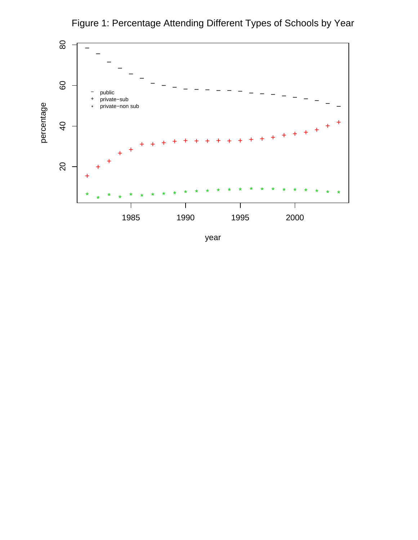

Figure 1: Percentage Attending Different Types of Schools by Year

year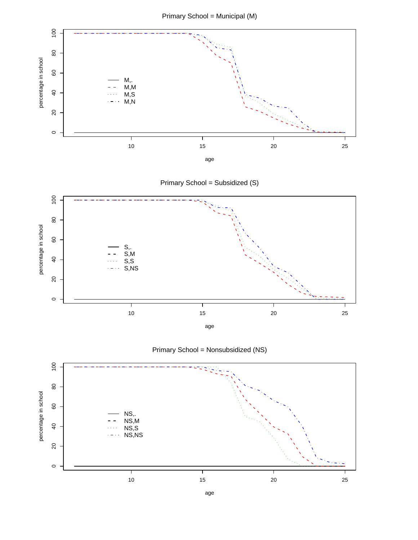



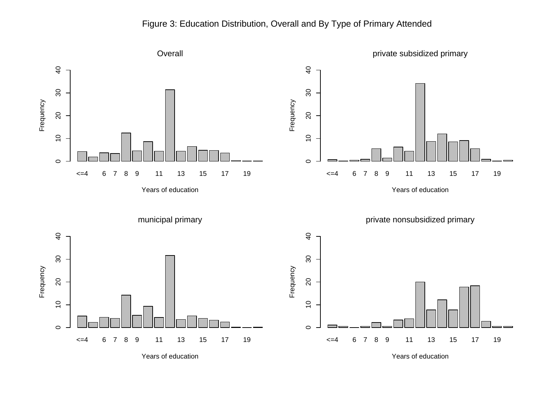## Figure 3: Education Distribution, Overall and By Type of Primary Attended

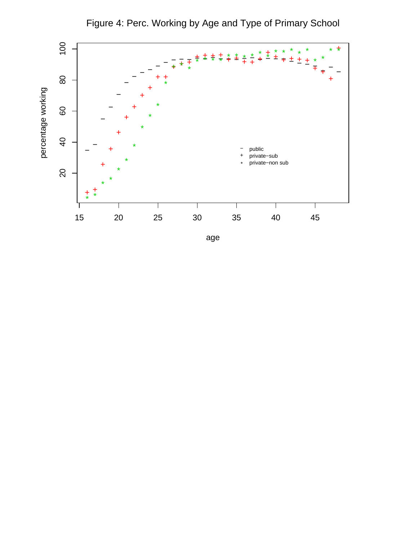

Figure 4: Perc. Working by Age and Type of Primary School

age